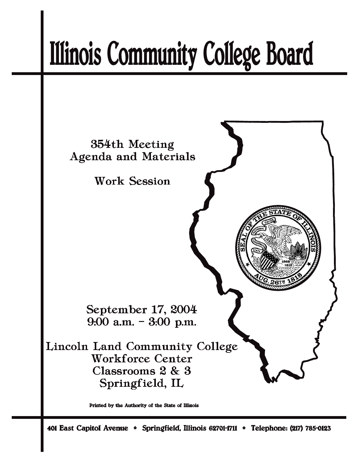# **Illinois Community College Board**



Printed by the Authority of the State of Illinois

401 East Capitol Avenue \* Springfield, Illinois 62701-1711 \* Telephone: (217) 785-0123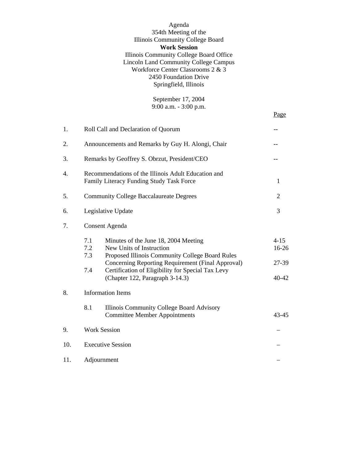Agenda 354th Meeting of the Illinois Community College Board **Work Session** Illinois Community College Board Office Lincoln Land Community College Campus Workforce Center Classrooms 2 & 3 2450 Foundation Drive Springfield, Illinois

> September 17, 2004 9:00 a.m. - 3:00 p.m.

Page

| 1.  | Roll Call and Declaration of Quorum                                                             |                                                                                                                                                                                                                                                                  |                                         |  |
|-----|-------------------------------------------------------------------------------------------------|------------------------------------------------------------------------------------------------------------------------------------------------------------------------------------------------------------------------------------------------------------------|-----------------------------------------|--|
| 2.  | Announcements and Remarks by Guy H. Alongi, Chair                                               |                                                                                                                                                                                                                                                                  |                                         |  |
| 3.  | Remarks by Geoffrey S. Obrzut, President/CEO                                                    |                                                                                                                                                                                                                                                                  |                                         |  |
| 4.  | Recommendations of the Illinois Adult Education and<br>Family Literacy Funding Study Task Force |                                                                                                                                                                                                                                                                  |                                         |  |
| 5.  | <b>Community College Baccalaureate Degrees</b>                                                  | $\overline{2}$                                                                                                                                                                                                                                                   |                                         |  |
| 6.  | Legislative Update                                                                              |                                                                                                                                                                                                                                                                  | 3                                       |  |
| 7.  |                                                                                                 | <b>Consent Agenda</b>                                                                                                                                                                                                                                            |                                         |  |
|     | 7.1<br>7.2<br>7.3<br>7.4                                                                        | Minutes of the June 18, 2004 Meeting<br>New Units of Instruction<br>Proposed Illinois Community College Board Rules<br>Concerning Reporting Requirement (Final Approval)<br>Certification of Eligibility for Special Tax Levy<br>(Chapter 122, Paragraph 3-14.3) | $4 - 15$<br>$16 - 26$<br>27-39<br>40-42 |  |
| 8.  | <b>Information Items</b>                                                                        |                                                                                                                                                                                                                                                                  |                                         |  |
|     | 8.1                                                                                             | Illinois Community College Board Advisory<br><b>Committee Member Appointments</b>                                                                                                                                                                                | 43-45                                   |  |
| 9.  | <b>Work Session</b>                                                                             |                                                                                                                                                                                                                                                                  |                                         |  |
| 10. | <b>Executive Session</b>                                                                        |                                                                                                                                                                                                                                                                  |                                         |  |
| 11. | Adjournment                                                                                     |                                                                                                                                                                                                                                                                  |                                         |  |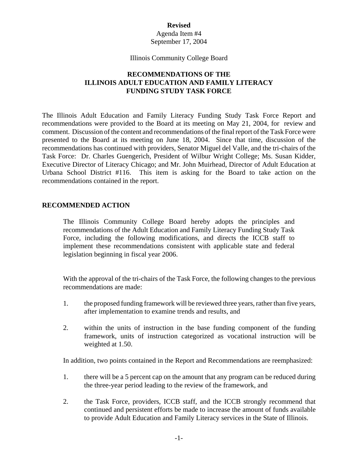#### **Revised**

#### Agenda Item #4 September 17, 2004

#### Illinois Community College Board

## **RECOMMENDATIONS OF THE ILLINOIS ADULT EDUCATION AND FAMILY LITERACY FUNDING STUDY TASK FORCE**

The Illinois Adult Education and Family Literacy Funding Study Task Force Report and recommendations were provided to the Board at its meeting on May 21, 2004, for review and comment. Discussion of the content and recommendations of the final report of the Task Force were presented to the Board at its meeting on June 18, 2004. Since that time, discussion of the recommendations has continued with providers, Senator Miguel del Valle, and the tri-chairs of the Task Force: Dr. Charles Guengerich, President of Wilbur Wright College; Ms. Susan Kidder, Executive Director of Literacy Chicago; and Mr. John Muirhead, Director of Adult Education at Urbana School District #116. This item is asking for the Board to take action on the recommendations contained in the report.

#### **RECOMMENDED ACTION**

The Illinois Community College Board hereby adopts the principles and recommendations of the Adult Education and Family Literacy Funding Study Task Force, including the following modifications, and directs the ICCB staff to implement these recommendations consistent with applicable state and federal legislation beginning in fiscal year 2006.

With the approval of the tri-chairs of the Task Force, the following changes to the previous recommendations are made:

- 1. the proposed funding framework will be reviewed three years, rather than five years, after implementation to examine trends and results, and
- 2. within the units of instruction in the base funding component of the funding framework, units of instruction categorized as vocational instruction will be weighted at 1.50.

In addition, two points contained in the Report and Recommendations are reemphasized:

- 1. there will be a 5 percent cap on the amount that any program can be reduced during the three-year period leading to the review of the framework, and
- 2. the Task Force, providers, ICCB staff, and the ICCB strongly recommend that continued and persistent efforts be made to increase the amount of funds available to provide Adult Education and Family Literacy services in the State of Illinois.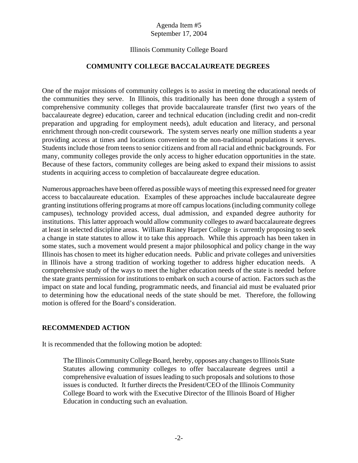#### Illinois Community College Board

#### **COMMUNITY COLLEGE BACCALAUREATE DEGREES**

One of the major missions of community colleges is to assist in meeting the educational needs of the communities they serve. In Illinois, this traditionally has been done through a system of comprehensive community colleges that provide baccalaureate transfer (first two years of the baccalaureate degree) education, career and technical education (including credit and non-credit preparation and upgrading for employment needs), adult education and literacy, and personal enrichment through non-credit coursework. The system serves nearly one million students a year providing access at times and locations convenient to the non-traditional populations it serves. Students include those from teens to senior citizens and from all racial and ethnic backgrounds. For many, community colleges provide the only access to higher education opportunities in the state. Because of these factors, community colleges are being asked to expand their missions to assist students in acquiring access to completion of baccalaureate degree education.

Numerous approaches have been offered as possible ways of meeting this expressed need for greater access to baccalaureate education. Examples of these approaches include baccalaureate degree granting institutions offering programs at more off campus locations (including community college campuses), technology provided access, dual admission, and expanded degree authority for institutions. This latter approach would allow community colleges to award baccalaureate degrees at least in selected discipline areas. William Rainey Harper College is currently proposing to seek a change in state statutes to allow it to take this approach. While this approach has been taken in some states, such a movement would present a major philosophical and policy change in the way Illinois has chosen to meet its higher education needs. Public and private colleges and universities in Illinois have a strong tradition of working together to address higher education needs. A comprehensive study of the ways to meet the higher education needs of the state is needed before the state grants permission for institutions to embark on such a course of action. Factors such as the impact on state and local funding, programmatic needs, and financial aid must be evaluated prior to determining how the educational needs of the state should be met. Therefore, the following motion is offered for the Board's consideration.

#### **RECOMMENDED ACTION**

It is recommended that the following motion be adopted:

The Illinois Community College Board, hereby, opposes any changes to Illinois State Statutes allowing community colleges to offer baccalaureate degrees until a comprehensive evaluation of issues leading to such proposals and solutions to those issues is conducted. It further directs the President/CEO of the Illinois Community College Board to work with the Executive Director of the Illinois Board of Higher Education in conducting such an evaluation.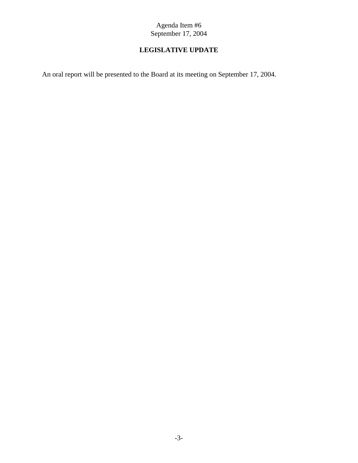# **LEGISLATIVE UPDATE**

An oral report will be presented to the Board at its meeting on September 17, 2004.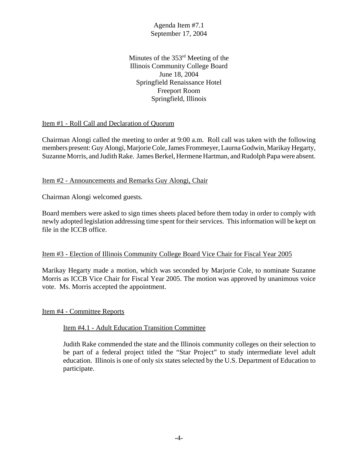Minutes of the 353<sup>rd</sup> Meeting of the Illinois Community College Board June 18, 2004 Springfield Renaissance Hotel Freeport Room Springfield, Illinois

#### Item #1 - Roll Call and Declaration of Quorum

Chairman Alongi called the meeting to order at 9:00 a.m. Roll call was taken with the following members present: Guy Alongi, Marjorie Cole, James Frommeyer, Laurna Godwin, Marikay Hegarty, Suzanne Morris, and Judith Rake. James Berkel, Hermene Hartman, and Rudolph Papa were absent.

## Item #2 - Announcements and Remarks Guy Alongi, Chair

Chairman Alongi welcomed guests.

Board members were asked to sign times sheets placed before them today in order to comply with newly adopted legislation addressing time spent for their services. This information will be kept on file in the ICCB office.

#### Item #3 - Election of Illinois Community College Board Vice Chair for Fiscal Year 2005

Marikay Hegarty made a motion, which was seconded by Marjorie Cole, to nominate Suzanne Morris as ICCB Vice Chair for Fiscal Year 2005. The motion was approved by unanimous voice vote. Ms. Morris accepted the appointment.

#### Item #4 - Committee Reports

#### Item #4.1 - Adult Education Transition Committee

Judith Rake commended the state and the Illinois community colleges on their selection to be part of a federal project titled the "Star Project" to study intermediate level adult education. Illinois is one of only six states selected by the U.S. Department of Education to participate.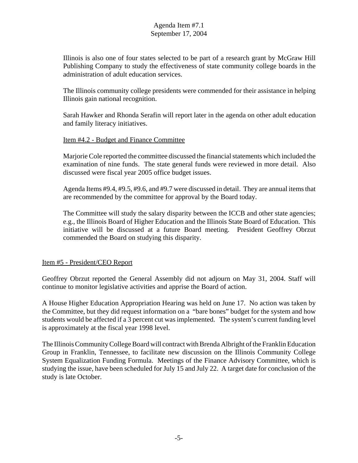Illinois is also one of four states selected to be part of a research grant by McGraw Hill Publishing Company to study the effectiveness of state community college boards in the administration of adult education services.

The Illinois community college presidents were commended for their assistance in helping Illinois gain national recognition.

Sarah Hawker and Rhonda Serafin will report later in the agenda on other adult education and family literacy initiatives.

#### Item #4.2 - Budget and Finance Committee

Marjorie Cole reported the committee discussed the financial statements which included the examination of nine funds. The state general funds were reviewed in more detail. Also discussed were fiscal year 2005 office budget issues.

Agenda Items #9.4, #9.5, #9.6, and #9.7 were discussed in detail. They are annual items that are recommended by the committee for approval by the Board today.

The Committee will study the salary disparity between the ICCB and other state agencies; e.g., the Illinois Board of Higher Education and the Illinois State Board of Education. This initiative will be discussed at a future Board meeting. President Geoffrey Obrzut commended the Board on studying this disparity.

#### Item #5 - President/CEO Report

Geoffrey Obrzut reported the General Assembly did not adjourn on May 31, 2004. Staff will continue to monitor legislative activities and apprise the Board of action.

A House Higher Education Appropriation Hearing was held on June 17. No action was taken by the Committee, but they did request information on a "bare bones" budget for the system and how students would be affected if a 3 percent cut was implemented. The system's current funding level is approximately at the fiscal year 1998 level.

The Illinois Community College Board will contract with Brenda Albright of the Franklin Education Group in Franklin, Tennessee, to facilitate new discussion on the Illinois Community College System Equalization Funding Formula. Meetings of the Finance Advisory Committee, which is studying the issue, have been scheduled for July 15 and July 22. A target date for conclusion of the study is late October.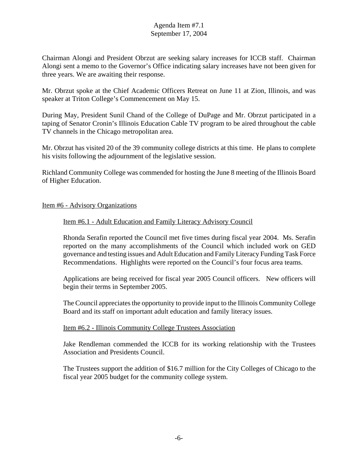Chairman Alongi and President Obrzut are seeking salary increases for ICCB staff. Chairman Alongi sent a memo to the Governor's Office indicating salary increases have not been given for three years. We are awaiting their response.

Mr. Obrzut spoke at the Chief Academic Officers Retreat on June 11 at Zion, Illinois, and was speaker at Triton College's Commencement on May 15.

During May, President Sunil Chand of the College of DuPage and Mr. Obrzut participated in a taping of Senator Cronin's Illinois Education Cable TV program to be aired throughout the cable TV channels in the Chicago metropolitan area.

Mr. Obrzut has visited 20 of the 39 community college districts at this time. He plans to complete his visits following the adjournment of the legislative session.

Richland Community College was commended for hosting the June 8 meeting of the Illinois Board of Higher Education.

#### Item #6 - Advisory Organizations

#### Item #6.1 - Adult Education and Family Literacy Advisory Council

Rhonda Serafin reported the Council met five times during fiscal year 2004. Ms. Serafin reported on the many accomplishments of the Council which included work on GED governance and testing issues and Adult Education and Family Literacy Funding Task Force Recommendations. Highlights were reported on the Council's four focus area teams.

Applications are being received for fiscal year 2005 Council officers. New officers will begin their terms in September 2005.

The Council appreciates the opportunity to provide input to the Illinois Community College Board and its staff on important adult education and family literacy issues.

#### Item #6.2 - Illinois Community College Trustees Association

Jake Rendleman commended the ICCB for its working relationship with the Trustees Association and Presidents Council.

The Trustees support the addition of \$16.7 million for the City Colleges of Chicago to the fiscal year 2005 budget for the community college system.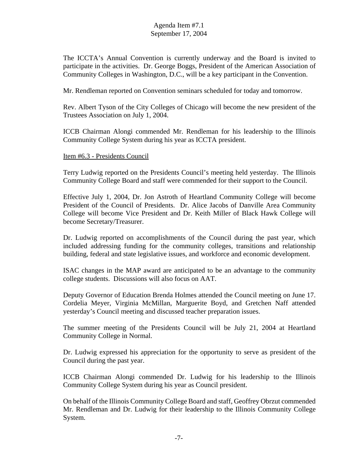The ICCTA's Annual Convention is currently underway and the Board is invited to participate in the activities. Dr. George Boggs, President of the American Association of Community Colleges in Washington, D.C., will be a key participant in the Convention.

Mr. Rendleman reported on Convention seminars scheduled for today and tomorrow.

Rev. Albert Tyson of the City Colleges of Chicago will become the new president of the Trustees Association on July 1, 2004.

ICCB Chairman Alongi commended Mr. Rendleman for his leadership to the Illinois Community College System during his year as ICCTA president.

#### Item #6.3 - Presidents Council

Terry Ludwig reported on the Presidents Council's meeting held yesterday. The Illinois Community College Board and staff were commended for their support to the Council.

Effective July 1, 2004, Dr. Jon Astroth of Heartland Community College will become President of the Council of Presidents. Dr. Alice Jacobs of Danville Area Community College will become Vice President and Dr. Keith Miller of Black Hawk College will become Secretary/Treasurer.

Dr. Ludwig reported on accomplishments of the Council during the past year, which included addressing funding for the community colleges, transitions and relationship building, federal and state legislative issues, and workforce and economic development.

ISAC changes in the MAP award are anticipated to be an advantage to the community college students. Discussions will also focus on AAT.

Deputy Governor of Education Brenda Holmes attended the Council meeting on June 17. Cordelia Meyer, Virginia McMillan, Marguerite Boyd, and Gretchen Naff attended yesterday's Council meeting and discussed teacher preparation issues.

The summer meeting of the Presidents Council will be July 21, 2004 at Heartland Community College in Normal.

Dr. Ludwig expressed his appreciation for the opportunity to serve as president of the Council during the past year.

ICCB Chairman Alongi commended Dr. Ludwig for his leadership to the Illinois Community College System during his year as Council president.

On behalf of the Illinois Community College Board and staff, Geoffrey Obrzut commended Mr. Rendleman and Dr. Ludwig for their leadership to the Illinois Community College System.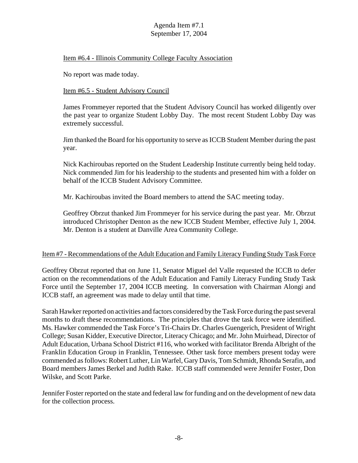#### Item #6.4 - Illinois Community College Faculty Association

No report was made today.

#### Item #6.5 - Student Advisory Council

James Frommeyer reported that the Student Advisory Council has worked diligently over the past year to organize Student Lobby Day. The most recent Student Lobby Day was extremely successful.

Jim thanked the Board for his opportunity to serve as ICCB Student Member during the past year.

Nick Kachiroubas reported on the Student Leadership Institute currently being held today. Nick commended Jim for his leadership to the students and presented him with a folder on behalf of the ICCB Student Advisory Committee.

Mr. Kachiroubas invited the Board members to attend the SAC meeting today.

Geoffrey Obrzut thanked Jim Frommeyer for his service during the past year. Mr. Obrzut introduced Christopher Denton as the new ICCB Student Member, effective July 1, 2004. Mr. Denton is a student at Danville Area Community College.

#### Item #7 - Recommendations of the Adult Education and Family Literacy Funding Study Task Force

Geoffrey Obrzut reported that on June 11, Senator Miguel del Valle requested the ICCB to defer action on the recommendations of the Adult Education and Family Literacy Funding Study Task Force until the September 17, 2004 ICCB meeting. In conversation with Chairman Alongi and ICCB staff, an agreement was made to delay until that time.

Sarah Hawker reported on activities and factors considered by the Task Force during the past several months to draft these recommendations. The principles that drove the task force were identified. Ms. Hawker commended the Task Force's Tri-Chairs Dr. Charles Guengerich, President of Wright College; Susan Kidder, Executive Director, Literacy Chicago; and Mr. John Muirhead, Director of Adult Education, Urbana School District #116, who worked with facilitator Brenda Albright of the Franklin Education Group in Franklin, Tennessee. Other task force members present today were commended as follows: Robert Luther, Lin Warfel, Gary Davis, Tom Schmidt, Rhonda Serafin, and Board members James Berkel and Judith Rake. ICCB staff commended were Jennifer Foster, Don Wilske, and Scott Parke.

Jennifer Foster reported on the state and federal law for funding and on the development of new data for the collection process.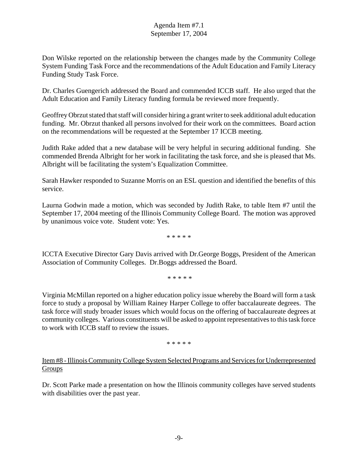Don Wilske reported on the relationship between the changes made by the Community College System Funding Task Force and the recommendations of the Adult Education and Family Literacy Funding Study Task Force.

Dr. Charles Guengerich addressed the Board and commended ICCB staff. He also urged that the Adult Education and Family Literacy funding formula be reviewed more frequently.

Geoffrey Obrzut stated that staff will consider hiring a grant writer to seek additional adult education funding. Mr. Obrzut thanked all persons involved for their work on the committees. Board action on the recommendations will be requested at the September 17 ICCB meeting.

Judith Rake added that a new database will be very helpful in securing additional funding. She commended Brenda Albright for her work in facilitating the task force, and she is pleased that Ms. Albright will be facilitating the system's Equalization Committee.

Sarah Hawker responded to Suzanne Morris on an ESL question and identified the benefits of this service.

Laurna Godwin made a motion, which was seconded by Judith Rake, to table Item #7 until the September 17, 2004 meeting of the Illinois Community College Board. The motion was approved by unanimous voice vote. Student vote: Yes.

\* \* \* \* \*

ICCTA Executive Director Gary Davis arrived with Dr.George Boggs, President of the American Association of Community Colleges. Dr.Boggs addressed the Board.

\* \* \* \* \*

Virginia McMillan reported on a higher education policy issue whereby the Board will form a task force to study a proposal by William Rainey Harper College to offer baccalaureate degrees. The task force will study broader issues which would focus on the offering of baccalaureate degrees at community colleges. Various constituents will be asked to appoint representatives to this task force to work with ICCB staff to review the issues.

\* \* \* \* \*

## Item #8 - Illinois Community College System Selected Programs and Services for Underrepresented **Groups**

Dr. Scott Parke made a presentation on how the Illinois community colleges have served students with disabilities over the past year.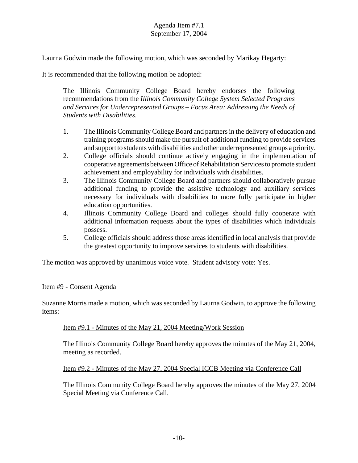Laurna Godwin made the following motion, which was seconded by Marikay Hegarty:

It is recommended that the following motion be adopted:

The Illinois Community College Board hereby endorses the following recommendations from the *Illinois Community College System Selected Programs and Services for Underrepresented Groups – Focus Area: Addressing the Needs of Students with Disabilities*.

- 1. The Illinois Community College Board and partners in the delivery of education and training programs should make the pursuit of additional funding to provide services and support to students with disabilities and other underrepresented groups a priority.
- 2. College officials should continue actively engaging in the implementation of cooperative agreements between Office of Rehabilitation Services to promote student achievement and employability for individuals with disabilities.
- 3. The Illinois Community College Board and partners should collaboratively pursue additional funding to provide the assistive technology and auxiliary services necessary for individuals with disabilities to more fully participate in higher education opportunities.
- 4. Illinois Community College Board and colleges should fully cooperate with additional information requests about the types of disabilities which individuals possess.
- 5. College officials should address those areas identified in local analysis that provide the greatest opportunity to improve services to students with disabilities.

The motion was approved by unanimous voice vote. Student advisory vote: Yes.

#### Item #9 - Consent Agenda

Suzanne Morris made a motion, which was seconded by Laurna Godwin, to approve the following items:

#### Item #9.1 - Minutes of the May 21, 2004 Meeting/Work Session

The Illinois Community College Board hereby approves the minutes of the May 21, 2004, meeting as recorded.

#### Item #9.2 - Minutes of the May 27, 2004 Special ICCB Meeting via Conference Call

The Illinois Community College Board hereby approves the minutes of the May 27, 2004 Special Meeting via Conference Call.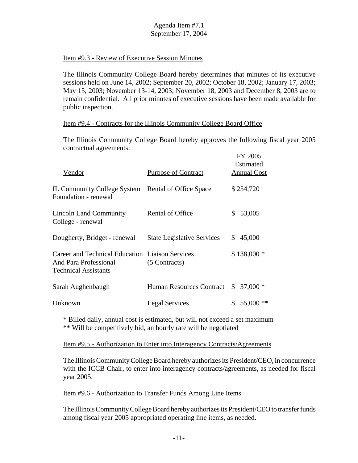#### Item #9.3 - Review of Executive Session Minutes

The Illinois Community College Board hereby determines that minutes of its executive sessions held on June 14, 2002; September 20, 2002; October 18, 2002; January 17, 2003; May 15, 2003; November 13-14, 2003; November 18, 2003 and December 8, 2003 are to remain confidential. All prior minutes of executive sessions have been made available for public inspection.

#### Item #9.4 - Contracts for the Illinois Community College Board Office

The Illinois Community College Board hereby approves the following fiscal year 2005 contractual agreements:

| Vendor                                                                                                  | <b>Purpose of Contract</b>        |     | FY 2005<br>Estimated<br><b>Annual Cost</b> |
|---------------------------------------------------------------------------------------------------------|-----------------------------------|-----|--------------------------------------------|
| IL Community College System Rental of Office Space<br>Foundation - renewal                              |                                   |     | \$254,720                                  |
| Lincoln Land Community<br>College - renewal                                                             | Rental of Office                  | \$  | 53,005                                     |
| Dougherty, Bridget - renewal                                                                            | <b>State Legislative Services</b> | \$. | 45,000                                     |
| Career and Technical Education Liaison Services<br>And Para Professional<br><b>Technical Assistants</b> | (5 Contracts)                     |     | $$138,000*$                                |
| Sarah Aughenbaugh                                                                                       | <b>Human Resources Contract</b>   | \$. | $37,000*$                                  |
| Unknown                                                                                                 | <b>Legal Services</b>             | S   | $55,000$ **                                |

\* Billed daily, annual cost is estimated, but will not exceed a set maximum \*\* Will be competitively bid, an hourly rate will be negotiated

Item #9.5 - Authorization to Enter into Interagency Contracts/Agreements

The Illinois Community College Board hereby authorizes its President/CEO, in concurrence with the ICCB Chair, to enter into interagency contracts/agreements, as needed for fiscal year 2005.

Item #9.6 - Authorization to Transfer Funds Among Line Items

The Illinois Community College Board hereby authorizes its President/CEO to transfer funds among fiscal year 2005 appropriated operating line items, as needed.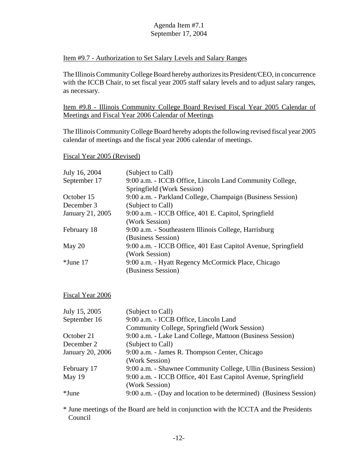#### Item #9.7 - Authorization to Set Salary Levels and Salary Ranges

The Illinois Community College Board hereby authorizes its President/CEO, in concurrence with the ICCB Chair, to set fiscal year 2005 staff salary levels and to adjust salary ranges, as necessary.

Item #9.8 - Illinois Community College Board Revised Fiscal Year 2005 Calendar of Meetings and Fiscal Year 2006 Calendar of Meetings

The Illinois Community College Board hereby adopts the following revised fiscal year 2005 calendar of meetings and the fiscal year 2006 calendar of meetings.

Fiscal Year 2005 (Revised)

| July 16, 2004    | (Subject to Call)                                             |
|------------------|---------------------------------------------------------------|
| September 17     | 9:00 a.m. - ICCB Office, Lincoln Land Community College,      |
|                  | Springfield (Work Session)                                    |
| October 15       | 9:00 a.m. - Parkland College, Champaign (Business Session)    |
| December 3       | (Subject to Call)                                             |
| January 21, 2005 | 9:00 a.m. - ICCB Office, 401 E. Capitol, Springfield          |
|                  | (Work Session)                                                |
| February 18      | 9:00 a.m. - Southeastern Illinois College, Harrisburg         |
|                  | (Business Session)                                            |
| May 20           | 9:00 a.m. - ICCB Office, 401 East Capitol Avenue, Springfield |
|                  | (Work Session)                                                |
| $*$ June 17      | 9:00 a.m. - Hyatt Regency McCormick Place, Chicago            |
|                  | (Business Session)                                            |
|                  |                                                               |

Fiscal Year 2006

| July 15, 2005    | (Subject to Call)                                                  |
|------------------|--------------------------------------------------------------------|
| September 16     | 9:00 a.m. - ICCB Office, Lincoln Land                              |
|                  | Community College, Springfield (Work Session)                      |
| October 21       | 9:00 a.m. - Lake Land College, Mattoon (Business Session)          |
| December 2       | (Subject to Call)                                                  |
| January 20, 2006 | 9:00 a.m. - James R. Thompson Center, Chicago                      |
|                  | (Work Session)                                                     |
| February 17      | 9:00 a.m. - Shawnee Community College, Ullin (Business Session)    |
| May 19           | 9:00 a.m. - ICCB Office, 401 East Capitol Avenue, Springfield      |
|                  | (Work Session)                                                     |
| *June            | 9:00 a.m. - (Day and location to be determined) (Business Session) |
|                  |                                                                    |

\* June meetings of the Board are held in conjunction with the ICCTA and the Presidents Council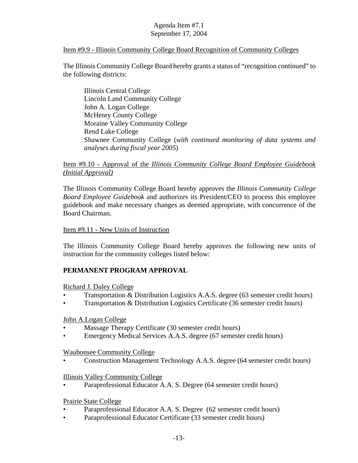#### Item #9.9 - Illinois Community College Board Recognition of Community Colleges

The Illinois Community College Board hereby grants a status of "recognition continued" to the following districts:

Illinois Central College Lincoln Land Community College John A. Logan College McHenry County College Moraine Valley Community College Rend Lake College Shawnee Community College (*with continued monitoring of data systems and analyses during fiscal year 2005*)

## Item #9.10 - Approval of the *Illinois Community College Board Employee Guidebook (Initial Approval)*

The Illinois Community College Board hereby approves the *Illinois Community College Board Employee Guidebook* and authorizes its President/CEO to process this employee guidebook and make necessary changes as deemed appropriate, with concurrence of the Board Chairman.

#### Item #9.11 - New Units of Instruction

The Illinois Community College Board hereby approves the following new units of instruction for the community colleges listed below:

#### **PERMANENT PROGRAM APPROVAL**

Richard J. Daley College

- Transportation & Distribution Logistics A.A.S. degree (63 semester credit hours)
- Transportation & Distribution Logistics Certificate (36 semester credit hours)

#### John A.Logan College

- Massage Therapy Certificate (30 semester credit hours)
- Emergency Medical Services A.A.S. degree (67 semester credit hours)

#### Waubonsee Community College

• Construction Management Technology A.A.S. degree (64 semester credit hours)

#### Illinois Valley Community College

Paraprofessional Educator A.A. S. Degree (64 semester credit hours)

#### Prairie State College

- Paraprofessional Educator A.A. S. Degree (62 semester credit hours)
- Paraprofessional Educator Certificate (33 semester credit hours)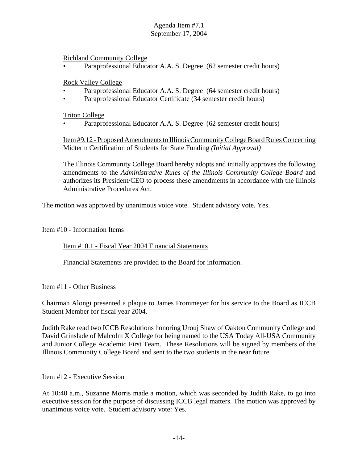Richland Community College

Paraprofessional Educator A.A. S. Degree (62 semester credit hours)

Rock Valley College

- Paraprofessional Educator A.A. S. Degree (64 semester credit hours)
- Paraprofessional Educator Certificate (34 semester credit hours)

Triton College

Paraprofessional Educator A.A. S. Degree (62 semester credit hours)

Item #9.12 - Proposed Amendments to Illinois Community College Board Rules Concerning Midterm Certification of Students for State Funding *(Initial Approval)*

The Illinois Community College Board hereby adopts and initially approves the following amendments to the *Administrative Rules of the Illinois Community College Board* and authorizes its President/CEO to process these amendments in accordance with the Illinois Administrative Procedures Act.

The motion was approved by unanimous voice vote. Student advisory vote. Yes.

#### Item #10 - Information Items

#### Item #10.1 - Fiscal Year 2004 Financial Statements

Financial Statements are provided to the Board for information.

Item #11 - Other Business

Chairman Alongi presented a plaque to James Frommeyer for his service to the Board as ICCB Student Member for fiscal year 2004.

Judith Rake read two ICCB Resolutions honoring Urouj Shaw of Oakton Community College and David Grinslade of Malcolm X College for being named to the USA Today All-USA Community and Junior College Academic First Team. These Resolutions will be signed by members of the Illinois Community College Board and sent to the two students in the near future.

#### Item #12 - Executive Session

At 10:40 a.m., Suzanne Morris made a motion, which was seconded by Judith Rake, to go into executive session for the purpose of discussing ICCB legal matters. The motion was approved by unanimous voice vote. Student advisory vote: Yes.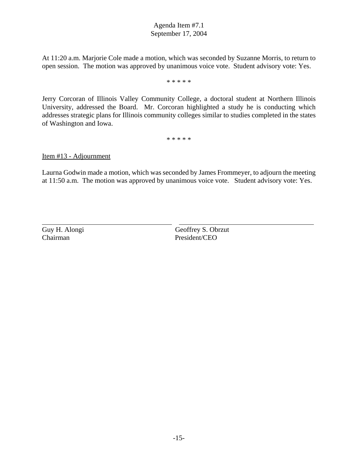At 11:20 a.m. Marjorie Cole made a motion, which was seconded by Suzanne Morris, to return to open session. The motion was approved by unanimous voice vote. Student advisory vote: Yes.

\* \* \* \* \*

Jerry Corcoran of Illinois Valley Community College, a doctoral student at Northern Illinois University, addressed the Board. Mr. Corcoran highlighted a study he is conducting which addresses strategic plans for Illinois community colleges similar to studies completed in the states of Washington and Iowa.

\* \* \* \* \*

Item #13 - Adjournment

Laurna Godwin made a motion, which was seconded by James Frommeyer, to adjourn the meeting at 11:50 a.m. The motion was approved by unanimous voice vote. Student advisory vote: Yes.

Chairman President/CEO

 $\overline{a}$ 

Guy H. Alongi Geoffrey S. Obrzut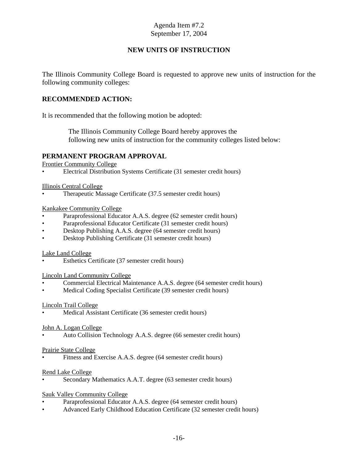#### **NEW UNITS OF INSTRUCTION**

The Illinois Community College Board is requested to approve new units of instruction for the following community colleges:

#### **RECOMMENDED ACTION:**

It is recommended that the following motion be adopted:

 The Illinois Community College Board hereby approves the following new units of instruction for the community colleges listed below:

#### **PERMANENT PROGRAM APPROVAL**

Frontier Community College

• Electrical Distribution Systems Certificate (31 semester credit hours)

Illinois Central College

• Therapeutic Massage Certificate (37.5 semester credit hours)

Kankakee Community College

- Paraprofessional Educator A.A.S. degree (62 semester credit hours)
- Paraprofessional Educator Certificate (31 semester credit hours)
- Desktop Publishing A.A.S. degree (64 semester credit hours)
- Desktop Publishing Certificate (31 semester credit hours)

#### Lake Land College

Esthetics Certificate (37 semester credit hours)

#### Lincoln Land Community College

- Commercial Electrical Maintenance A.A.S. degree (64 semester credit hours)
- Medical Coding Specialist Certificate (39 semester credit hours)

#### Lincoln Trail College

Medical Assistant Certificate (36 semester credit hours)

#### John A. Logan College

• Auto Collision Technology A.A.S. degree (66 semester credit hours)

#### Prairie State College

Fitness and Exercise A.A.S. degree (64 semester credit hours)

#### Rend Lake College

• Secondary Mathematics A.A.T. degree (63 semester credit hours)

#### Sauk Valley Community College

- Paraprofessional Educator A.A.S. degree (64 semester credit hours)
- Advanced Early Childhood Education Certificate (32 semester credit hours)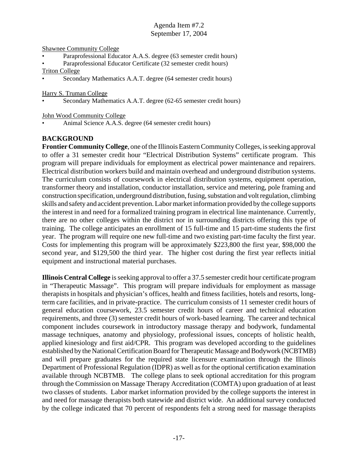Shawnee Community College

- Paraprofessional Educator A.A.S. degree (63 semester credit hours)
- Paraprofessional Educator Certificate (32 semester credit hours)

#### Triton College

• Secondary Mathematics A.A.T. degree (64 semester credit hours)

Harry S. Truman College

Secondary Mathematics A.A.T. degree (62-65 semester credit hours)

John Wood Community College

• Animal Science A.A.S. degree (64 semester credit hours)

#### **BACKGROUND**

**Frontier Community College**, one of the Illinois Eastern Community Colleges, is seeking approval to offer a 31 semester credit hour "Electrical Distribution Systems" certificate program. This program will prepare individuals for employment as electrical power maintenance and repairers. Electrical distribution workers build and maintain overhead and underground distribution systems. The curriculum consists of coursework in electrical distribution systems, equipment operation, transformer theory and installation, conductor installation, service and metering, pole framing and construction specification, underground distribution, fusing, substation and volt regulation, climbing skills and safety and accident prevention. Labor market information provided by the college supports the interest in and need for a formalized training program in electrical line maintenance. Currently, there are no other colleges within the district nor in surrounding districts offering this type of training. The college anticipates an enrollment of 15 full-time and 15 part-time students the first year. The program will require one new full-time and two existing part-time faculty the first year. Costs for implementing this program will be approximately \$223,800 the first year, \$98,000 the second year, and \$129,500 the third year. The higher cost during the first year reflects initial equipment and instructional material purchases.

**Illinois Central College** is seeking approval to offer a 37.5 semester credit hour certificate program in "Therapeutic Massage". This program will prepare individuals for employment as massage therapists in hospitals and physician's offices, health and fitness facilities, hotels and resorts, longterm care facilities, and in private-practice. The curriculum consists of 11 semester credit hours of general education coursework, 23.5 semester credit hours of career and technical education requirements, and three (3) semester credit hours of work-based learning. The career and technical component includes coursework in introductory massage therapy and bodywork, fundamental massage techniques, anatomy and physiology, professional issues, concepts of holistic health, applied kinesiology and first aid/CPR. This program was developed according to the guidelines established by the National Certification Board for Therapeutic Massage and Bodywork (NCBTMB) and will prepare graduates for the required state licensure examination through the Illinois Department of Professional Regulation (IDPR) as well as for the optional certification examination available through NCBTMB. The college plans to seek optional accreditation for this program through the Commission on Massage Therapy Accreditation (COMTA) upon graduation of at least two classes of students. Labor market information provided by the college supports the interest in and need for massage therapists both statewide and district wide. An additional survey conducted by the college indicated that 70 percent of respondents felt a strong need for massage therapists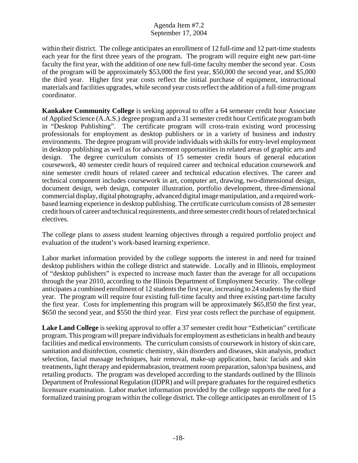within their district. The college anticipates an enrollment of 12 full-time and 12 part-time students each year for the first three years of the program. The program will require eight new part-time faculty the first year, with the addition of one new full-time faculty member the second year. Costs of the program will be approximately \$53,000 the first year, \$50,000 the second year, and \$5,000 the third year. Higher first year costs reflect the initial purchase of equipment, instructional materials and facilities upgrades, while second year costs reflect the addition of a full-time program coordinator.

**Kankakee Community College** is seeking approval to offer a 64 semester credit hour Associate of Applied Science (A.A.S.) degree program and a 31 semester credit hour Certificate program both in "Desktop Publishing". The certificate program will cross-train existing word processing professionals for employment as desktop publishers or in a variety of business and industry environments. The degree program will provide individuals with skills for entry-level employment in desktop publishing as well as for advancement opportunities in related areas of graphic arts and design. The degree curriculum consists of 15 semester credit hours of general education coursework, 40 semester credit hours of required career and technical education coursework and nine semester credit hours of related career and technical education electives. The career and technical component includes coursework in art, computer art, drawing, two-dimensional design, document design, web design, computer illustration, portfolio development, three-dimensional commercial display, digital photography, advanced digital image manipulation, and a required workbased learning experience in desktop publishing. The certificate curriculum consists of 28 semester credit hours of career and technical requirements, and three semester credit hours of related technical electives.

The college plans to assess student learning objectives through a required portfolio project and evaluation of the student's work-based learning experience.

Labor market information provided by the college supports the interest in and need for trained desktop publishers within the college district and statewide. Locally and in Illinois, employment of "desktop publishers" is expected to increase much faster than the average for all occupations through the year 2010, according to the Illinois Department of Employment Security. The college anticipates a combined enrollment of 12 students the first year, increasing to 24 students by the third year. The program will require four existing full-time faculty and three existing part-time faculty the first year. Costs for implementing this program will be approximately \$65,850 the first year, \$650 the second year, and \$550 the third year. First year costs reflect the purchase of equipment.

**Lake Land College** is seeking approval to offer a 37 semester credit hour "Esthetician" certificate program. This program will prepare individuals for employment as estheticians in health and beauty facilities and medical environments. The curriculum consists of coursework in history of skin care, sanitation and disinfection, cosmetic chemistry, skin disorders and diseases, skin analysis, product selection, facial massage techniques, hair removal, make-up application, basic facials and skin treatments, light therapy and epidermabrasion, treatment room preparation, salon/spa business, and retailing products. The program was developed according to the standards outlined by the Illinois Department of Professional Regulation (IDPR) and will prepare graduates for the required esthetics licensure examination. Labor market information provided by the college supports the need for a formalized training program within the college district. The college anticipates an enrollment of 15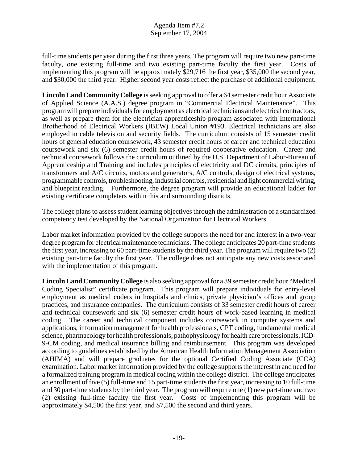full-time students per year during the first three years. The program will require two new part-time faculty, one existing full-time and two existing part-time faculty the first year. Costs of implementing this program will be approximately \$29,716 the first year, \$35,000 the second year, and \$30,000 the third year. Higher second year costs reflect the purchase of additional equipment.

**Lincoln Land Community College** is seeking approval to offer a 64 semester credit hour Associate of Applied Science (A.A.S.) degree program in "Commercial Electrical Maintenance". This program will prepare individuals for employment as electrical technicians and electrical contractors, as well as prepare them for the electrician apprenticeship program associated with International Brotherhood of Electrical Workers (IBEW) Local Union #193. Electrical technicians are also employed in cable television and security fields. The curriculum consists of 15 semester credit hours of general education coursework, 43 semester credit hours of career and technical education coursework and six (6) semester credit hours of required cooperative education. Career and technical coursework follows the curriculum outlined by the U.S. Department of Labor-Bureau of Apprenticeship and Training and includes principles of electricity and DC circuits, principles of transformers and A/C circuits, motors and generators, A/C controls, design of electrical systems, programmable controls, troubleshooting, industrial controls, residential and light commercial wiring, and blueprint reading. Furthermore, the degree program will provide an educational ladder for existing certificate completers within this and surrounding districts.

The college plans to assess student learning objectives through the administration of a standardized competency test developed by the National Organization for Electrical Workers.

Labor market information provided by the college supports the need for and interest in a two-year degree program for electrical maintenance technicians. The college anticipates 20 part-time students the first year, increasing to 60 part-time students by the third year. The program will require two (2) existing part-time faculty the first year. The college does not anticipate any new costs associated with the implementation of this program.

**Lincoln Land Community College** is also seeking approval for a 39 semester credit hour "Medical Coding Specialist" certificate program. This program will prepare individuals for entry-level employment as medical coders in hospitals and clinics, private physician's offices and group practices, and insurance companies. The curriculum consists of 33 semester credit hours of career and technical coursework and six (6) semester credit hours of work-based learning in medical coding. The career and technical component includes coursework in computer systems and applications, information management for health professionals, CPT coding, fundamental medical science, pharmacology for health professionals, pathophysiology for health care professionals, ICD-9-CM coding, and medical insurance billing and reimbursement. This program was developed according to guidelines established by the American Health Information Management Association (AHIMA) and will prepare graduates for the optional Certified Coding Associate (CCA) examination. Labor market information provided by the college supports the interest in and need for a formalized training program in medical coding within the college district. The college anticipates an enrollment of five (5) full-time and 15 part-time students the first year, increasing to 10 full-time and 30 part-time students by the third year. The program will require one (1) new part-time and two (2) existing full-time faculty the first year. Costs of implementing this program will be approximately \$4,500 the first year, and \$7,500 the second and third years.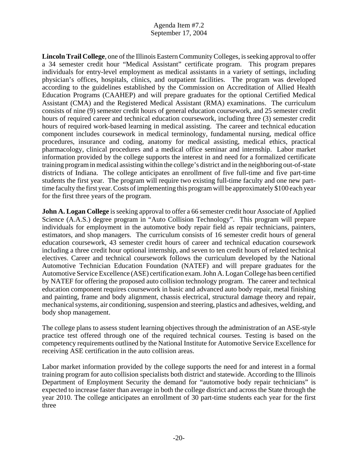**Lincoln Trail College**, one of the Illinois Eastern Community Colleges, is seeking approval to offer a 34 semester credit hour "Medical Assistant" certificate program. This program prepares individuals for entry-level employment as medical assistants in a variety of settings, including physician's offices, hospitals, clinics, and outpatient facilities. The program was developed according to the guidelines established by the Commission on Accreditation of Allied Health Education Programs (CAAHEP) and will prepare graduates for the optional Certified Medical Assistant (CMA) and the Registered Medical Assistant (RMA) examinations. The curriculum consists of nine (9) semester credit hours of general education coursework, and 25 semester credit hours of required career and technical education coursework, including three (3) semester credit hours of required work-based learning in medical assisting. The career and technical education component includes coursework in medical terminology, fundamental nursing, medical office procedures, insurance and coding, anatomy for medical assisting, medical ethics, practical pharmacology, clinical procedures and a medical office seminar and internship. Labor market information provided by the college supports the interest in and need for a formalized certificate training program in medical assisting within the college's district and in the neighboring out-of-state districts of Indiana. The college anticipates an enrollment of five full-time and five part-time students the first year. The program will require two existing full-time faculty and one new parttime faculty the first year. Costs of implementing this program will be approximately \$100 each year for the first three years of the program.

**John A. Logan College** is seeking approval to offer a 66 semester credit hour Associate of Applied Science (A.A.S.) degree program in "Auto Collision Technology". This program will prepare individuals for employment in the automotive body repair field as repair technicians, painters, estimators, and shop managers. The curriculum consists of 16 semester credit hours of general education coursework, 43 semester credit hours of career and technical education coursework including a three credit hour optional internship, and seven to ten credit hours of related technical electives. Career and technical coursework follows the curriculum developed by the National Automotive Technician Education Foundation (NATEF) and will prepare graduates for the Automotive Service Excellence (ASE) certification exam. John A. Logan College has been certified by NATEF for offering the proposed auto collision technology program. The career and technical education component requires coursework in basic and advanced auto body repair, metal finishing and painting, frame and body alignment, chassis electrical, structural damage theory and repair, mechanical systems, air conditioning, suspension and steering, plastics and adhesives, welding, and body shop management.

The college plans to assess student learning objectives through the administration of an ASE-style practice test offered through one of the required technical courses. Testing is based on the competency requirements outlined by the National Institute for Automotive Service Excellence for receiving ASE certification in the auto collision areas.

Labor market information provided by the college supports the need for and interest in a formal training program for auto collision specialists both district and statewide. According to the Illinois Department of Employment Security the demand for "automotive body repair technicians" is expected to increase faster than average in both the college district and across the State through the year 2010. The college anticipates an enrollment of 30 part-time students each year for the first three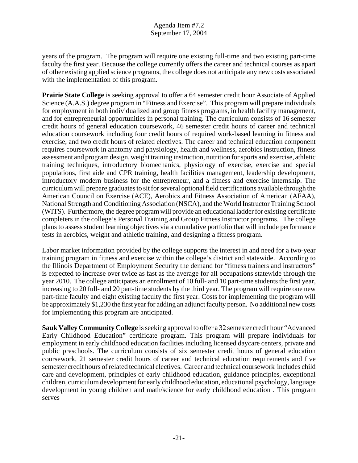years of the program. The program will require one existing full-time and two existing part-time faculty the first year. Because the college currently offers the career and technical courses as apart of other existing applied science programs, the college does not anticipate any new costs associated with the implementation of this program.

**Prairie State College** is seeking approval to offer a 64 semester credit hour Associate of Applied Science (A.A.S.) degree program in "Fitness and Exercise". This program will prepare individuals for employment in both individualized and group fitness programs, in health facility management, and for entrepreneurial opportunities in personal training. The curriculum consists of 16 semester credit hours of general education coursework, 46 semester credit hours of career and technical education coursework including four credit hours of required work-based learning in fitness and exercise, and two credit hours of related electives. The career and technical education component requires coursework in anatomy and physiology, health and wellness, aerobics instruction, fitness assessment and program design, weight training instruction, nutrition for sports and exercise, athletic training techniques, introductory biomechanics, physiology of exercise, exercise and special populations, first aide and CPR training, health facilities management, leadership development, introductory modern business for the entrepreneur, and a fitness and exercise internship. The curriculum will prepare graduates to sit for several optional field certifications available through the American Council on Exercise (ACE), Aerobics and Fitness Association of American (AFAA), National Strength and Conditioning Association (NSCA), and the World Instructor Training School (WITS). Furthermore, the degree program will provide an educational ladder for existing certificate completers in the college's Personal Training and Group Fitness Instructor programs. The college plans to assess student learning objectives via a cumulative portfolio that will include performance tests in aerobics, weight and athletic training, and designing a fitness program.

Labor market information provided by the college supports the interest in and need for a two-year training program in fitness and exercise within the college's district and statewide. According to the Illinois Department of Employment Security the demand for "fitness trainers and instructors" is expected to increase over twice as fast as the average for all occupations statewide through the year 2010. The college anticipates an enrollment of 10 full- and 10 part-time students the first year, increasing to 20 full- and 20 part-time students by the third year. The program will require one new part-time faculty and eight existing faculty the first year. Costs for implementing the program will be approximately \$1,230 the first year for adding an adjunct faculty person. No additional new costs for implementing this program are anticipated.

**Sauk Valley Community College** is seeking approval to offer a 32 semester credit hour "Advanced Early Childhood Education" certificate program. This program will prepare individuals for employment in early childhood education facilities including licensed daycare centers, private and public preschools. The curriculum consists of six semester credit hours of general education coursework, 21 semester credit hours of career and technical education requirements and five semester credit hours of related technical electives. Career and technical coursework includes child care and development, principles of early childhood education, guidance principles, exceptional children, curriculum development for early childhood education, educational psychology, language development in young children and math/science for early childhood education . This program serves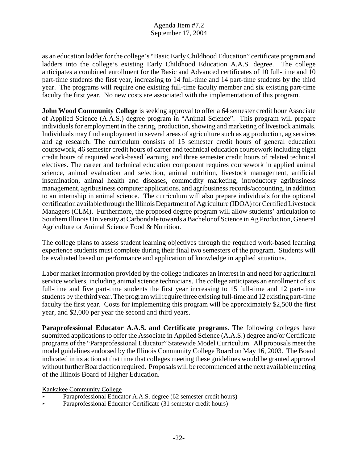as an education ladder for the college's "Basic Early Childhood Education" certificate program and ladders into the college's existing Early Childhood Education A.A.S. degree. The college anticipates a combined enrollment for the Basic and Advanced certificates of 10 full-time and 10 part-time students the first year, increasing to 14 full-time and 14 part-time students by the third year. The programs will require one existing full-time faculty member and six existing part-time faculty the first year. No new costs are associated with the implementation of this program.

**John Wood Community College** is seeking approval to offer a 64 semester credit hour Associate of Applied Science (A.A.S.) degree program in "Animal Science". This program will prepare individuals for employment in the caring, production, showing and marketing of livestock animals. Individuals may find employment in several areas of agriculture such as ag production, ag services and ag research. The curriculum consists of 15 semester credit hours of general education coursework, 46 semester credit hours of career and technical education coursework including eight credit hours of required work-based learning, and three semester credit hours of related technical electives. The career and technical education component requires coursework in applied animal science, animal evaluation and selection, animal nutrition, livestock management, artificial insemination, animal health and diseases, commodity marketing, introductory agribusiness management, agribusiness computer applications, and agribusiness records/accounting, in addition to an internship in animal science. The curriculum will also prepare individuals for the optional certification available through the Illinois Department of Agriculture (IDOA) for Certified Livestock Managers (CLM). Furthermore, the proposed degree program will allow students' articulation to Southern Illinois University at Carbondale towards a Bachelor of Science in Ag Production, General Agriculture or Animal Science Food & Nutrition.

The college plans to assess student learning objectives through the required work-based learning experience students must complete during their final two semesters of the program. Students will be evaluated based on performance and application of knowledge in applied situations.

Labor market information provided by the college indicates an interest in and need for agricultural service workers, including animal science technicians. The college anticipates an enrollment of six full-time and five part-time students the first year increasing to 15 full-time and 12 part-time students by the third year. The program will require three existing full-time and 12 existing part-time faculty the first year. Costs for implementing this program will be approximately \$2,500 the first year, and \$2,000 per year the second and third years.

Paraprofessional Educator A.A.S. and Certificate programs. The following colleges have submitted applications to offer the Associate in Applied Science (A.A.S.) degree and/or Certificate programs of the "Paraprofessional Educator" Statewide Model Curriculum. All proposals meet the model guidelines endorsed by the Illinois Community College Board on May 16, 2003. The Board indicated in its action at that time that colleges meeting these guidelines would be granted approval without further Board action required. Proposals will be recommended at the next available meeting of the Illinois Board of Higher Education.

Kankakee Community College

- Paraprofessional Educator A.A.S. degree (62 semester credit hours)
- < Paraprofessional Educator Certificate (31 semester credit hours)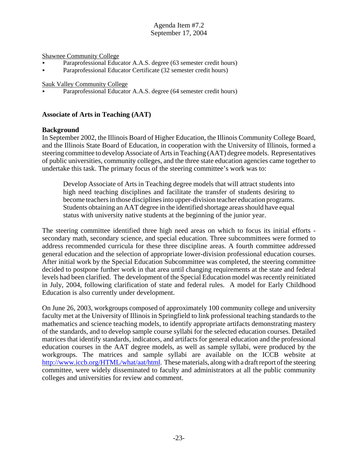Shawnee Community College

- Paraprofessional Educator A.A.S. degree (63 semester credit hours)
- < Paraprofessional Educator Certificate (32 semester credit hours)

Sauk Valley Community College

Paraprofessional Educator A.A.S. degree (64 semester credit hours)

#### **Associate of Arts in Teaching (AAT)**

#### **Background**

In September 2002, the Illinois Board of Higher Education, the Illinois Community College Board, and the Illinois State Board of Education, in cooperation with the University of Illinois, formed a steering committee to develop Associate of Arts in Teaching (AAT) degree models. Representatives of public universities, community colleges, and the three state education agencies came together to undertake this task. The primary focus of the steering committee's work was to:

Develop Associate of Arts in Teaching degree models that will attract students into high need teaching disciplines and facilitate the transfer of students desiring to become teachers in those disciplines into upper-division teacher education programs. Students obtaining an AAT degree in the identified shortage areas should have equal status with university native students at the beginning of the junior year.

The steering committee identified three high need areas on which to focus its initial efforts secondary math, secondary science, and special education. Three subcommittees were formed to address recommended curricula for these three discipline areas. A fourth committee addressed general education and the selection of appropriate lower-division professional education courses. After initial work by the Special Education Subcommittee was completed, the steering committee decided to postpone further work in that area until changing requirements at the state and federal levels had been clarified. The development of the Special Education model was recently reinitiated in July, 2004, following clarification of state and federal rules. A model for Early Childhood Education is also currently under development.

On June 26, 2003, workgroups composed of approximately 100 community college and university faculty met at the University of Illinois in Springfield to link professional teaching standards to the mathematics and science teaching models, to identify appropriate artifacts demonstrating mastery of the standards, and to develop sample course syllabi for the selected education courses. Detailed matrices that identify standards, indicators, and artifacts for general education and the professional education courses in the AAT degree models, as well as sample syllabi, were produced by the workgroups. The matrices and sample syllabi are available on the ICCB website at http://www.iccb.org/HTML/what/aat/html. These materials, along with a draft report of the steering committee, were widely disseminated to faculty and administrators at all the public community colleges and universities for review and comment.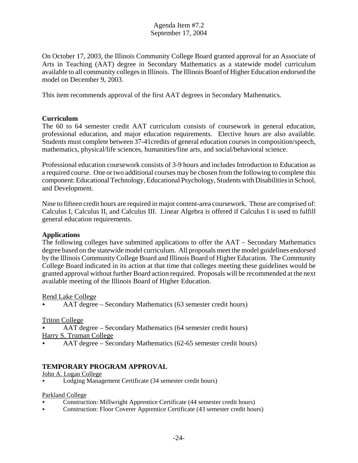On October 17, 2003, the Illinois Community College Board granted approval for an Associate of Arts in Teaching (AAT) degree in Secondary Mathematics as a statewide model curriculum available to all community colleges in Illinois. The Illinois Board of Higher Education endorsed the model on December 9, 2003.

This item recommends approval of the first AAT degrees in Secondary Mathematics.

#### **Curriculum**

The 60 to 64 semester credit AAT curriculum consists of coursework in general education, professional education, and major education requirements. Elective hours are also available. Students must complete between 37-41credits of general education courses in composition/speech, mathematics, physical/life sciences, humanities/fine arts, and social/behavioral science.

Professional education coursework consists of 3-9 hours and includes Introduction to Education as a required course. One or two additional courses may be chosen from the following to complete this component: Educational Technology, Educational Psychology, Students with Disabilities in School, and Development.

Nine to fifteen credit hours are required in major content-area coursework. Those are comprised of: Calculus I, Calculus II, and Calculus III. Linear Algebra is offered if Calculus I is used to fulfill general education requirements.

#### **Applications**

The following colleges have submitted applications to offer the AAT – Secondary Mathematics degree based on the statewide model curriculum. All proposals meet the model guidelines endorsed by the Illinois Community College Board and Illinois Board of Higher Education. The Community College Board indicated in its action at that time that colleges meeting these guidelines would be granted approval without further Board action required. Proposals will be recommended at the next available meeting of the Illinois Board of Higher Education.

#### Rend Lake College

< AAT degree – Secondary Mathematics (63 semester credit hours)

Triton College

- < AAT degree Secondary Mathematics (64 semester credit hours)
- Harry S. Truman College
- < AAT degree Secondary Mathematics (62-65 semester credit hours)

#### **TEMPORARY PROGRAM APPROVAL**

#### John A. Logan College

< Lodging Management Certificate (34 semester credit hours)

Parkland College

- < Construction: Millwright Apprentice Certificate (44 semester credit hours)
- < Construction: Floor Coverer Apprentice Certificate (43 semester credit hours)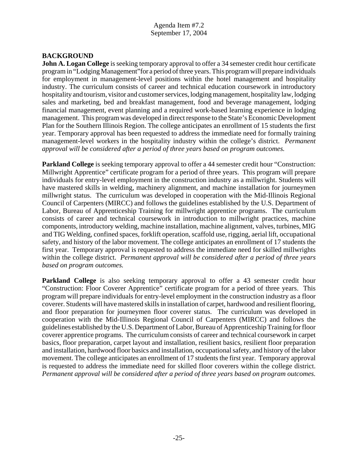#### **BACKGROUND**

**John A. Logan College** is seeking temporary approval to offer a 34 semester credit hour certificate program in "Lodging Management"for a period of three years. This program will prepare individuals for employment in management-level positions within the hotel management and hospitality industry. The curriculum consists of career and technical education coursework in introductory hospitality and tourism, visitor and customer services, lodging management, hospitality law, lodging sales and marketing, bed and breakfast management, food and beverage management, lodging financial management, event planning and a required work-based learning experience in lodging management. This program was developed in direct response to the State's Economic Development Plan for the Southern Illinois Region. The college anticipates an enrollment of 15 students the first year. Temporary approval has been requested to address the immediate need for formally training management-level workers in the hospitality industry within the college's district. *Permanent approval will be considered after a period of three years based on program outcomes.* 

**Parkland College** is seeking temporary approval to offer a 44 semester credit hour "Construction: Millwright Apprentice" certificate program for a period of three years. This program will prepare individuals for entry-level employment in the construction industry as a millwright. Students will have mastered skills in welding, machinery alignment, and machine installation for journeymen millwright status. The curriculum was developed in cooperation with the Mid-Illinois Regional Council of Carpenters (MIRCC) and follows the guidelines established by the U.S. Department of Labor, Bureau of Apprenticeship Training for millwright apprentice programs. The curriculum consists of career and technical coursework in introduction to millwright practices, machine components, introductory welding, machine installation, machine alignment, valves, turbines, MIG and TIG Welding, confined spaces, forklift operation, scaffold use, rigging, aerial lift, occupational safety, and history of the labor movement. The college anticipates an enrollment of 17 students the first year. Temporary approval is requested to address the immediate need for skilled millwrights within the college district. *Permanent approval will be considered after a period of three years based on program outcomes.* 

**Parkland College** is also seeking temporary approval to offer a 43 semester credit hour "Construction: Floor Coverer Apprentice" certificate program for a period of three years. This program will prepare individuals for entry-level employment in the construction industry as a floor coverer. Students will have mastered skills in installation of carpet, hardwood and resilient flooring, and floor preparation for journeymen floor coverer status. The curriculum was developed in cooperation with the Mid-Illinois Regional Council of Carpenters (MIRCC) and follows the guidelines established by the U.S. Department of Labor, Bureau of Apprenticeship Training for floor coverer apprentice programs. The curriculum consists of career and technical coursework in carpet basics, floor preparation, carpet layout and installation, resilient basics, resilient floor preparation and installation, hardwood floor basics and installation, occupational safety, and history of the labor movement. The college anticipates an enrollment of 17 students the first year. Temporary approval is requested to address the immediate need for skilled floor coverers within the college district. *Permanent approval will be considered after a period of three years based on program outcomes.*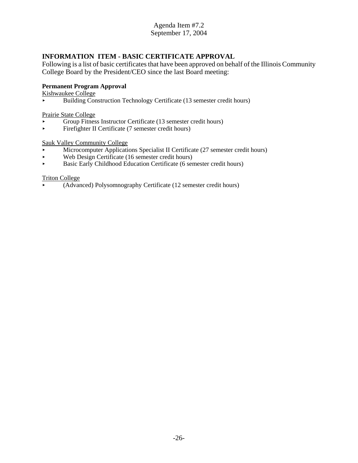## **INFORMATION ITEM - BASIC CERTIFICATE APPROVAL**

Following is a list of basic certificates that have been approved on behalf of the Illinois Community College Board by the President/CEO since the last Board meeting:

#### **Permanent Program Approval**

Kishwaukee College

< Building Construction Technology Certificate (13 semester credit hours)

Prairie State College

- $\triangleright$  Group Fitness Instructor Certificate (13 semester credit hours)<br>Firefighter II Certificate (7 semester credit hours)
- < Firefighter II Certificate (7 semester credit hours)

#### Sauk Valley Community College

- **Microcomputer Applications Specialist II Certificate (27 semester credit hours)**
- Web Design Certificate (16 semester credit hours)
- < Basic Early Childhood Education Certificate (6 semester credit hours)

#### Triton College

< (Advanced) Polysomnography Certificate (12 semester credit hours)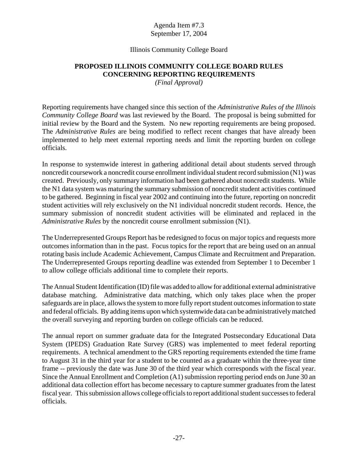#### Illinois Community College Board

## **PROPOSED ILLINOIS COMMUNITY COLLEGE BOARD RULES CONCERNING REPORTING REQUIREMENTS**

*(Final Approval)*

Reporting requirements have changed since this section of the *Administrative Rules of the Illinois Community College Board* was last reviewed by the Board. The proposal is being submitted for initial review by the Board and the System. No new reporting requirements are being proposed. The *Administrative Rules* are being modified to reflect recent changes that have already been implemented to help meet external reporting needs and limit the reporting burden on college officials.

In response to systemwide interest in gathering additional detail about students served through noncredit coursework a noncredit course enrollment individual student record submission (N1) was created. Previously, only summary information had been gathered about noncredit students. While the N1 data system was maturing the summary submission of noncredit student activities continued to be gathered. Beginning in fiscal year 2002 and continuing into the future, reporting on noncredit student activities will rely exclusively on the N1 individual noncredit student records. Hence, the summary submission of noncredit student activities will be eliminated and replaced in the *Administrative Rules* by the noncredit course enrollment submission (N1).

The Underrepresented Groups Report has be redesigned to focus on major topics and requests more outcomes information than in the past. Focus topics for the report that are being used on an annual rotating basis include Academic Achievement, Campus Climate and Recruitment and Preparation. The Underrepresented Groups reporting deadline was extended from September 1 to December 1 to allow college officials additional time to complete their reports.

The Annual Student Identification (ID) file was added to allow for additional external administrative database matching. Administrative data matching, which only takes place when the proper safeguards are in place, allows the system to more fully report student outcomes information to state and federal officials. By adding items upon which systemwide data can be administratively matched the overall surveying and reporting burden on college officials can be reduced.

The annual report on summer graduate data for the Integrated Postsecondary Educational Data System (IPEDS) Graduation Rate Survey (GRS) was implemented to meet federal reporting requirements. A technical amendment to the GRS reporting requirements extended the time frame to August 31 in the third year for a student to be counted as a graduate within the three-year time frame -- previously the date was June 30 of the third year which corresponds with the fiscal year. Since the Annual Enrollment and Completion (A1) submission reporting period ends on June 30 an additional data collection effort has become necessary to capture summer graduates from the latest fiscal year. This submission allows college officials to report additional student successes to federal officials.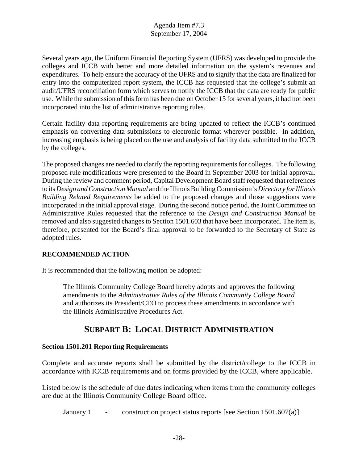Several years ago, the Uniform Financial Reporting System (UFRS) was developed to provide the colleges and ICCB with better and more detailed information on the system's revenues and expenditures. To help ensure the accuracy of the UFRS and to signify that the data are finalized for entry into the computerized report system, the ICCB has requested that the college's submit an audit/UFRS reconciliation form which serves to notify the ICCB that the data are ready for public use. While the submission of this form has been due on October 15 for several years, it had not been incorporated into the list of administrative reporting rules.

Certain facility data reporting requirements are being updated to reflect the ICCB's continued emphasis on converting data submissions to electronic format wherever possible. In addition, increasing emphasis is being placed on the use and analysis of facility data submitted to the ICCB by the colleges.

The proposed changes are needed to clarify the reporting requirements for colleges. The following proposed rule modifications were presented to the Board in September 2003 for initial approval. During the review and comment period, Capital Development Board staff requested that references to its *Design and Construction Manual* and the Illinois Building Commission's *Directory for Illinois Building Related Requirements* be added to the proposed changes and those suggestions were incorporated in the initial approval stage. During the second notice period, the Joint Committee on Administrative Rules requested that the reference to the *Design and Construction Manual* be removed and also suggested changes to Section 1501.603 that have been incorporated. The item is, therefore, presented for the Board's final approval to be forwarded to the Secretary of State as adopted rules.

## **RECOMMENDED ACTION**

It is recommended that the following motion be adopted:

The Illinois Community College Board hereby adopts and approves the following amendments to the *Administrative Rules of the Illinois Community College Board* and authorizes its President/CEO to process these amendments in accordance with the Illinois Administrative Procedures Act.

## **SUBPART B: LOCAL DISTRICT ADMINISTRATION**

#### **Section 1501.201 Reporting Requirements**

Complete and accurate reports shall be submitted by the district/college to the ICCB in accordance with ICCB requirements and on forms provided by the ICCB, where applicable.

Listed below is the schedule of due dates indicating when items from the community colleges are due at the Illinois Community College Board office.

January 1  $\qquad \qquad -$  construction project status reports [see Section 1501.607(a)]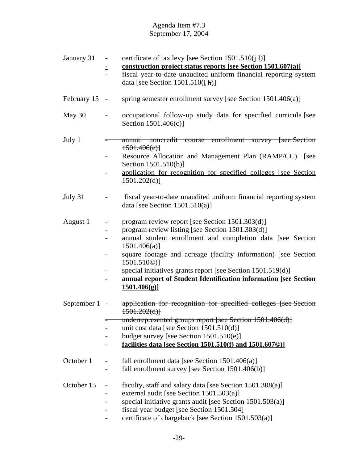| January 31    | certificate of tax levy [see Section $1501.510(j)$ ]<br>$\overline{\phantom{a}}$                                |
|---------------|-----------------------------------------------------------------------------------------------------------------|
|               | construction project status reports [see Section 1501.607(a)]<br>Ξ                                              |
|               | fiscal year-to-date unaudited uniform financial reporting system<br>data [see Section $1501.510(i \text{ h})$ ] |
|               |                                                                                                                 |
| February 15 - | spring semester enrollment survey [see Section 1501.406(a)]                                                     |
| May 30        | occupational follow-up study data for specified curricula [see<br>Section 1501.406(c)]                          |
|               |                                                                                                                 |
| July 1        | annual noncredit course enrollment survey [see Section<br>1501.406(e)                                           |
|               | Resource Allocation and Management Plan (RAMP/CC) [see<br>Section 1501.510(b)]                                  |
|               | application for recognition for specified colleges [see Section]<br>1501.202(d)                                 |
| July 31       | fiscal year-to-date unaudited uniform financial reporting system<br>data [see Section $1501.510(a)$ ]           |
| August 1      | program review report [see Section 1501.303(d)]<br>$\overline{\phantom{a}}$                                     |
|               | program review listing [see Section 1501.303(d)]<br>$\overline{\phantom{a}}$                                    |
|               | annual student enrollment and completion data [see Section<br>$1501.406(a)$ ]                                   |
|               | square footage and acreage (facility information) [see Section<br>$1501.510@$ ]                                 |
|               | special initiatives grants report [see Section 1501.519(d)]<br>-                                                |
|               | annual report of Student Identification information [see Section                                                |
|               | 1501.406(g)                                                                                                     |
|               |                                                                                                                 |
| September 1 - | application for recognition for specified colleges [see Section]<br>1501.202(d)                                 |
|               | underrepresented groups report [see Section 1501.406(d)]                                                        |
|               | unit cost data [see Section $1501.510(d)$ ]                                                                     |
|               | budget survey [see Section $1501.510(e)$ ]                                                                      |
|               | facilities data [see Section 1501.510(f) and 1501.6070)]                                                        |
|               |                                                                                                                 |
| October 1     | fall enrollment data [see Section $1501.406(a)$ ]<br>-                                                          |
|               | fall enrollment survey [see Section 1501.406(b)]                                                                |
| October 15    |                                                                                                                 |
|               | faculty, staff and salary data [see Section 1501.308(a)]<br>external audit [see Section 1501.503(a)]            |
|               | special initiative grants audit [see Section 1501.503(a)]<br>$\overline{\phantom{0}}$                           |
|               | fiscal year budget [see Section 1501.504]                                                                       |
|               | certificate of chargeback [see Section 1501.503(a)]                                                             |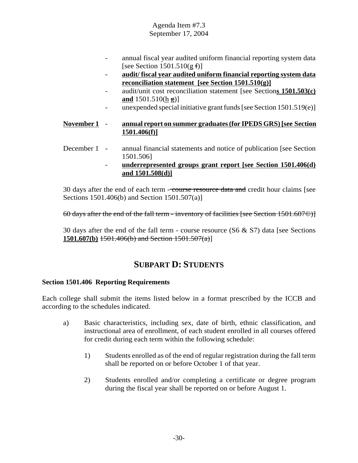- annual fiscal year audited uniform financial reporting system data [see Section  $1501.510(g f)$ ]
- **audit/ fiscal year audited uniform financial reporting system data reconciliation statement [see Section 1501.510(g)]**
- audit/unit cost reconciliation statement [see Section**s 1501.503(c) and** 1501.510(h g)]
- unexpended special initiative grant funds [see Section 1501.519(e)]

#### **November 1** - **annual report on summer graduates (for IPEDS GRS) [see Section 1501.406(f)]**

- December 1 annual financial statements and notice of publication [see Section 1501.506]
	- **underrepresented groups grant report [see Section 1501.406(d) and 1501.508(d)]**

30 days after the end of each term - course resource data and credit hour claims [see Sections 1501.406(b) and Section 1501.507(a)]

60 days after the end of the fall term - inventory of facilities [see Section 1501.607©)]

30 days after the end of the fall term - course resource  $(S6 \& S7)$  data [see Sections] **1501.607(b)** 1501.406(b) and Section 1501.507(a)]

# **SUBPART D: STUDENTS**

#### **Section 1501.406 Reporting Requirements**

Each college shall submit the items listed below in a format prescribed by the ICCB and according to the schedules indicated.

- a) Basic characteristics, including sex, date of birth, ethnic classification, and instructional area of enrollment, of each student enrolled in all courses offered for credit during each term within the following schedule:
	- 1) Students enrolled as of the end of regular registration during the fall term shall be reported on or before October 1 of that year.
	- 2) Students enrolled and/or completing a certificate or degree program during the fiscal year shall be reported on or before August 1.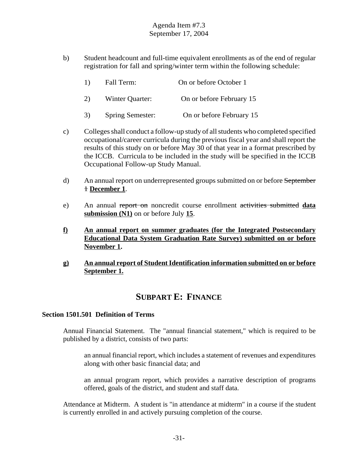b) Student headcount and full-time equivalent enrollments as of the end of regular registration for fall and spring/winter term within the following schedule:

| On or before October 1<br>1)<br>Fall Term: |  |
|--------------------------------------------|--|
|--------------------------------------------|--|

2) Winter Quarter: On or before February 15

- 3) Spring Semester: On or before February 15
- c) Colleges shall conduct a follow-up study of all students who completed specified occupational/career curricula during the previous fiscal year and shall report the results of this study on or before May 30 of that year in a format prescribed by the ICCB. Curricula to be included in the study will be specified in the ICCB Occupational Follow-up Study Manual.
- d) An annual report on underrepresented groups submitted on or before September 1 **December 1**.
- e) An annual report on noncredit course enrollment activities submitted **data submission (N1)** on or before July **15**.
- **f) An annual report on summer graduates (for the Integrated Postsecondary Educational Data System Graduation Rate Survey) submitted on or before November 1.**
- **g) An annual report of Student Identification information submitted on or before September 1.**

# **SUBPART E: FINANCE**

#### **Section 1501.501 Definition of Terms**

Annual Financial Statement. The "annual financial statement," which is required to be published by a district, consists of two parts:

an annual financial report, which includes a statement of revenues and expenditures along with other basic financial data; and

an annual program report, which provides a narrative description of programs offered, goals of the district, and student and staff data.

Attendance at Midterm. A student is "in attendance at midterm" in a course if the student is currently enrolled in and actively pursuing completion of the course.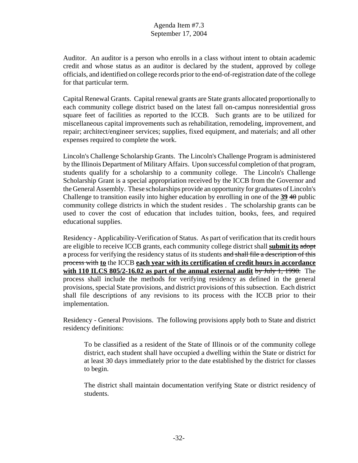Auditor. An auditor is a person who enrolls in a class without intent to obtain academic credit and whose status as an auditor is declared by the student, approved by college officials, and identified on college records prior to the end-of-registration date of the college for that particular term.

Capital Renewal Grants. Capital renewal grants are State grants allocated proportionally to each community college district based on the latest fall on-campus nonresidential gross square feet of facilities as reported to the ICCB. Such grants are to be utilized for miscellaneous capital improvements such as rehabilitation, remodeling, improvement, and repair; architect/engineer services; supplies, fixed equipment, and materials; and all other expenses required to complete the work.

Lincoln's Challenge Scholarship Grants. The Lincoln's Challenge Program is administered by the Illinois Department of Military Affairs. Upon successful completion of that program, students qualify for a scholarship to a community college. The Lincoln's Challenge Scholarship Grant is a special appropriation received by the ICCB from the Governor and the General Assembly. These scholarships provide an opportunity for graduates of Lincoln's Challenge to transition easily into higher education by enrolling in one of the **39** 40 public community college districts in which the student resides . The scholarship grants can be used to cover the cost of education that includes tuition, books, fees, and required educational supplies.

Residency - Applicability-Verification of Status. As part of verification that its credit hours are eligible to receive ICCB grants, each community college district shall **submit its** adopt a process for verifying the residency status of its students and shall file a description of this process with **to** the ICCB **each year with its certification of credit hours in accordance with 110 ILCS 805/2-16.02 as part of the annual external audit** by July 1, 1990. The process shall include the methods for verifying residency as defined in the general provisions, special State provisions, and district provisions of this subsection. Each district shall file descriptions of any revisions to its process with the ICCB prior to their implementation.

Residency - General Provisions. The following provisions apply both to State and district residency definitions:

To be classified as a resident of the State of Illinois or of the community college district, each student shall have occupied a dwelling within the State or district for at least 30 days immediately prior to the date established by the district for classes to begin.

The district shall maintain documentation verifying State or district residency of students.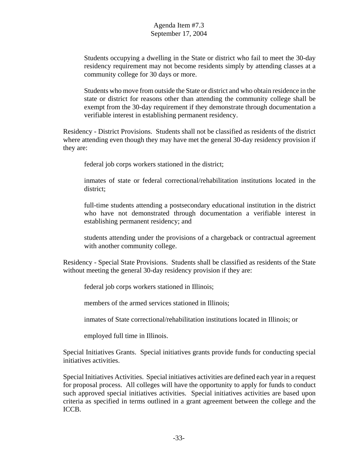Students occupying a dwelling in the State or district who fail to meet the 30-day residency requirement may not become residents simply by attending classes at a community college for 30 days or more.

Students who move from outside the State or district and who obtain residence in the state or district for reasons other than attending the community college shall be exempt from the 30-day requirement if they demonstrate through documentation a verifiable interest in establishing permanent residency.

Residency - District Provisions. Students shall not be classified as residents of the district where attending even though they may have met the general 30-day residency provision if they are:

federal job corps workers stationed in the district;

inmates of state or federal correctional/rehabilitation institutions located in the district;

full-time students attending a postsecondary educational institution in the district who have not demonstrated through documentation a verifiable interest in establishing permanent residency; and

students attending under the provisions of a chargeback or contractual agreement with another community college.

Residency - Special State Provisions. Students shall be classified as residents of the State without meeting the general 30-day residency provision if they are:

federal job corps workers stationed in Illinois;

members of the armed services stationed in Illinois;

inmates of State correctional/rehabilitation institutions located in Illinois; or

employed full time in Illinois.

Special Initiatives Grants. Special initiatives grants provide funds for conducting special initiatives activities.

Special Initiatives Activities. Special initiatives activities are defined each year in a request for proposal process. All colleges will have the opportunity to apply for funds to conduct such approved special initiatives activities. Special initiatives activities are based upon criteria as specified in terms outlined in a grant agreement between the college and the ICCB.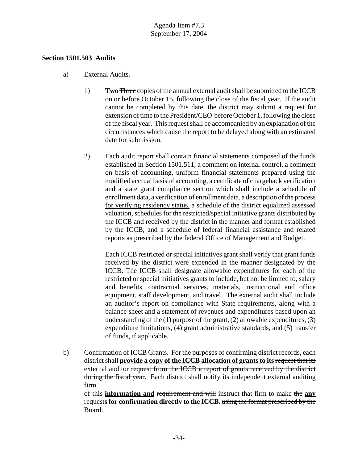#### **Section 1501.503 Audits**

- a) External Audits.
	- 1) **Two** Three copies of the annual external audit shall be submitted to the ICCB on or before October 15, following the close of the fiscal year. If the audit cannot be completed by this date, the district may submit a request for extension of time to the President/CEO before October 1, following the close of the fiscal year. This request shall be accompanied by an explanation of the circumstances which cause the report to be delayed along with an estimated date for submission.
	- 2) Each audit report shall contain financial statements composed of the funds established in Section 1501.511, a comment on internal control, a comment on basis of accounting, uniform financial statements prepared using the modified accrual basis of accounting, a certificate of chargeback verification and a state grant compliance section which shall include a schedule of enrollment data, a verification of enrollment data, a description of the process for verifying residency status, a schedule of the district equalized assessed valuation, schedules for the restricted/special initiative grants distributed by the ICCB and received by the district in the manner and format established by the ICCB, and a schedule of federal financial assistance and related reports as prescribed by the federal Office of Management and Budget.

Each ICCB restricted or special initiatives grant shall verify that grant funds received by the district were expended in the manner designated by the ICCB. The ICCB shall designate allowable expenditures for each of the restricted or special initiatives grants to include, but not be limited to, salary and benefits, contractual services, materials, instructional and office equipment, staff development, and travel. The external audit shall include an auditor's report on compliance with State requirements, along with a balance sheet and a statement of revenues and expenditures based upon an understanding of the  $(1)$  purpose of the grant,  $(2)$  allowable expenditures,  $(3)$ expenditure limitations, (4) grant administrative standards, and (5) transfer of funds, if applicable.

b) Confirmation of ICCB Grants. For the purposes of confirming district records, each district shall **provide a copy of the ICCB allocation of grants to its** request that its external auditor request from the ICCB a report of grants received by the district during the fiscal year. Each district shall notify its independent external auditing firm

of this **information and** requirement and will instruct that firm to make the **any** request**s for confirmation directly to the ICCB.** using the format prescribed by the Board.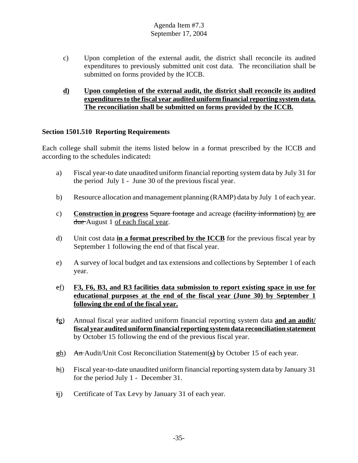- c) Upon completion of the external audit, the district shall reconcile its audited expenditures to previously submitted unit cost data. The reconciliation shall be submitted on forms provided by the ICCB.
- **d) Upon completion of the external audit, the district shall reconcile its audited expenditures to the fiscal year audited uniform financial reporting system data. The reconciliation shall be submitted on forms provided by the ICCB.**

#### **Section 1501.510 Reporting Requirements**

Each college shall submit the items listed below in a format prescribed by the ICCB and according to the schedules indicated**:**

- a) Fiscal year-to date unaudited uniform financial reporting system data by July 31 for the period July 1 - June 30 of the previous fiscal year.
- b) Resource allocation and management planning (RAMP) data by July 1 of each year.
- c) **Construction in progress** Square footage and acreage (facility information) by are due August 1 of each fiscal year.
- d) Unit cost data **in a format prescribed by the ICCB** for the previous fiscal year by September 1 following the end of that fiscal year.
- e) A survey of local budget and tax extensions and collections by September 1 of each year.
- ef) **F3, F6, B3, and R3 facilities data submission to report existing space in use for educational purposes at the end of the fiscal year (June 30) by September 1 following the end of the fiscal year.**
- fg) Annual fiscal year audited uniform financial reporting system data **and an audit/ fiscal year audited uniform financial reporting system data reconciliation statement** by October 15 following the end of the previous fiscal year.
- gh) An Audit/Unit Cost Reconciliation Statement(**s)** by October 15 of each year.
- hi) Fiscal year-to-date unaudited uniform financial reporting system data by January 31 for the period July 1 - December 31.
- ij) Certificate of Tax Levy by January 31 of each year.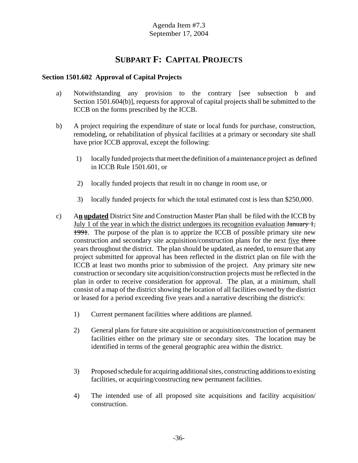# **SUBPART F: CAPITAL PROJECTS**

## **Section 1501.602 Approval of Capital Projects**

- a) Notwithstanding any provision to the contrary [see subsection b and Section 1501.604(b)], requests for approval of capital projects shall be submitted to the ICCB on the forms prescribed by the ICCB.
- b) A project requiring the expenditure of state or local funds for purchase, construction, remodeling, or rehabilitation of physical facilities at a primary or secondary site shall have prior ICCB approval, except the following:
	- 1) locally funded projects that meet the definition of a maintenance project as defined in ICCB Rule 1501.601, or
	- 2) locally funded projects that result in no change in room use, or
	- 3) locally funded projects for which the total estimated cost is less than \$250,000.
- c) A**n updated** District Site and Construction Master Plan shall be filed with the ICCB by July 1 of the year in which the district undergoes its recognition evaluation  $\frac{1}{2}$ , 1991. The purpose of the plan is to apprize the ICCB of possible primary site new construction and secondary site acquisition/construction plans for the next five three years throughout the district. The plan should be updated, as needed, to ensure that any project submitted for approval has been reflected in the district plan on file with the ICCB at least two months prior to submission of the project. Any primary site new construction or secondary site acquisition/construction projects must be reflected in the plan in order to receive consideration for approval. The plan, at a minimum, shall consist of a map of the district showing the location of all facilities owned by the district or leased for a period exceeding five years and a narrative describing the district's:
	- 1) Current permanent facilities where additions are planned.
	- 2) General plans for future site acquisition or acquisition/construction of permanent facilities either on the primary site or secondary sites. The location may be identified in terms of the general geographic area within the district.
	- 3) Proposed schedule for acquiring additional sites, constructing additions to existing facilities, or acquiring/constructing new permanent facilities.
	- 4) The intended use of all proposed site acquisitions and facility acquisition/ construction.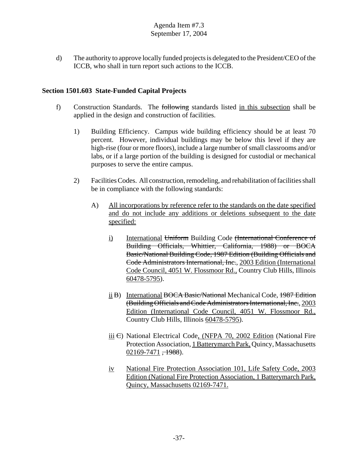d) The authority to approve locally funded projects is delegated to the President/CEO of the ICCB, who shall in turn report such actions to the ICCB.

## **Section 1501.603 State-Funded Capital Projects**

- f) Construction Standards. The following standards listed in this subsection shall be applied in the design and construction of facilities.
	- 1) Building Efficiency. Campus wide building efficiency should be at least 70 percent. However, individual buildings may be below this level if they are high-rise (four or more floors), include a large number of small classrooms and/or labs, or if a large portion of the building is designed for custodial or mechanical purposes to serve the entire campus.
	- 2) Facilities Codes. All construction, remodeling, and rehabilitation of facilities shall be in compliance with the following standards:
		- A) All incorporations by reference refer to the standards on the date specified and do not include any additions or deletions subsequent to the date specified:
			- i) International Uniform Building Code (International Conference of Building Officials, Whittier, California, 1988) or BOCA Basic/National Building Code, 1987 Edition (Building Officials and Code Administrators International, Inc., 2003 Edition (International Code Council, 4051 W. Flossmoor Rd., Country Club Hills, Illinois 60478-5795).
			- ii B) International BOCA Basic/National Mechanical Code, 1987 Edition (Building Officials and Code Administrators International, Inc., 2003 Edition (International Code Council, 4051 W. Flossmoor Rd., Country Club Hills, Illinois 60478-5795).
			- iii  $\Theta$ ) National Electrical Code, (NFPA 70, 2002 Edition (National Fire Protection Association, 1 Batterymarch Park, Quincy, Massachusetts  $02169-7471, +1988$ ).
			- iv National Fire Protection Association 101, Life Safety Code, 2003 Edition (National Fire Protection Association, 1 Batterymarch Park, Quincy, Massachusetts 02169-7471.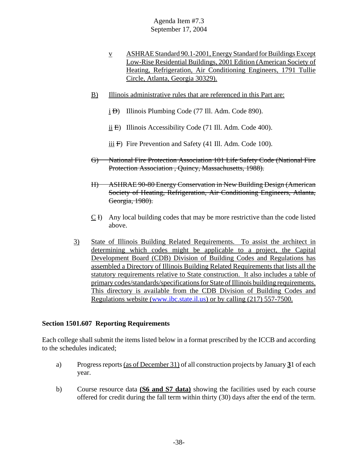- v ASHRAE Standard 90.1-2001, Energy Standard for Buildings Except Low-Rise Residential Buildings, 2001 Edition (American Society of Heating, Refrigeration, Air Conditioning Engineers, 1791 Tullie Circle, Atlanta, Georgia 30329).
- B) Illinois administrative rules that are referenced in this Part are:
	- i <del>D</del>) Illinois Plumbing Code (77 Ill. Adm. Code 890).
	- ii  $\text{E}$ ) Illinois Accessibility Code (71 Ill. Adm. Code 400).
	- $\overline{iii}$  F) Fire Prevention and Safety (41 Ill. Adm. Code 100).
- G) National Fire Protection Association 101 Life Safety Code (National Fire Protection Association , Quincy, Massachusetts, 1988).
- H) ASHRAE 90-80 Energy Conservation in New Building Design (American Society of Heating, Refrigeration, Air Conditioning Engineers, Atlanta, Georgia, 1980).
- C I) Any local building codes that may be more restrictive than the code listed above.
- 3) State of Illinois Building Related Requirements. To assist the architect in determining which codes might be applicable to a project, the Capital Development Board (CDB) Division of Building Codes and Regulations has assembled a Directory of Illinois Building Related Requirements that lists all the statutory requirements relative to State construction. It also includes a table of primary codes/standards/specifications for State of Illinois building requirements. This directory is available from the CDB Division of Building Codes and Regulations website (www.ibc.state.il.us) or by calling (217) 557-7500.

#### **Section 1501.607 Reporting Requirements**

Each college shall submit the items listed below in a format prescribed by the ICCB and according to the schedules indicated;

- a) Progress reports (as of December 31) of all construction projects by January **3**1 of each year.
- b) Course resource data **(S6 and S7 data)** showing the facilities used by each course offered for credit during the fall term within thirty (30) days after the end of the term.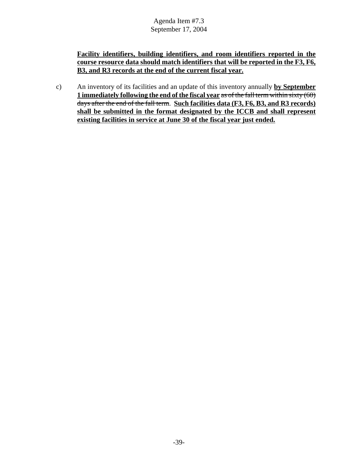**Facility identifiers, building identifiers, and room identifiers reported in the course resource data should match identifiers that will be reported in the F3, F6, B3, and R3 records at the end of the current fiscal year.**

c) An inventory of its facilities and an update of this inventory annually **by September 1 immediately following the end of the fiscal year** as of the fall term within sixty (60) days after the end of the fall term. **Such facilities data (F3, F6, B3, and R3 records) shall be submitted in the format designated by the ICCB and shall represent existing facilities in service at June 30 of the fiscal year just ended.**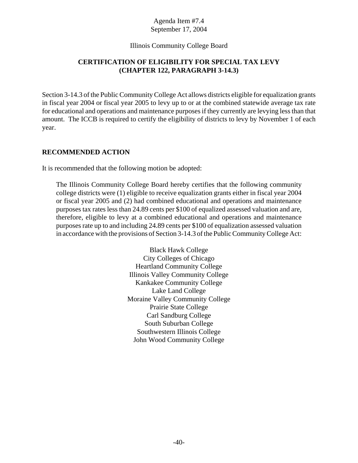#### Illinois Community College Board

## **CERTIFICATION OF ELIGIBILITY FOR SPECIAL TAX LEVY (CHAPTER 122, PARAGRAPH 3-14.3)**

Section 3-14.3 of the Public Community College Act allows districts eligible for equalization grants in fiscal year 2004 or fiscal year 2005 to levy up to or at the combined statewide average tax rate for educational and operations and maintenance purposes if they currently are levying less than that amount. The ICCB is required to certify the eligibility of districts to levy by November 1 of each year.

#### **RECOMMENDED ACTION**

It is recommended that the following motion be adopted:

The Illinois Community College Board hereby certifies that the following community college districts were (1) eligible to receive equalization grants either in fiscal year 2004 or fiscal year 2005 and (2) had combined educational and operations and maintenance purposes tax rates less than 24.89 cents per \$100 of equalized assessed valuation and are, therefore, eligible to levy at a combined educational and operations and maintenance purposes rate up to and including 24.89 cents per \$100 of equalization assessed valuation in accordance with the provisions of Section 3-14.3 of the Public Community College Act:

> Black Hawk College City Colleges of Chicago Heartland Community College Illinois Valley Community College Kankakee Community College Lake Land College Moraine Valley Community College Prairie State College Carl Sandburg College South Suburban College Southwestern Illinois College John Wood Community College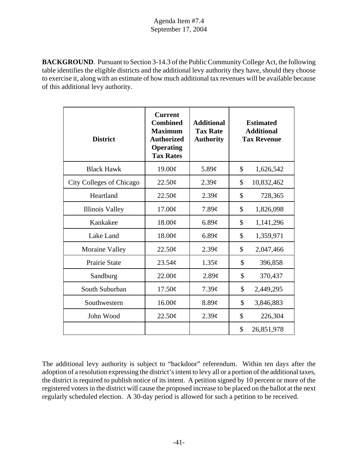**BACKGROUND**. Pursuant to Section 3-14.3 of the Public Community College Act, the following table identifies the eligible districts and the additional levy authority they have, should they choose to exercise it, along with an estimate of how much additional tax revenues will be available because of this additional levy authority.

| <b>District</b>                 | <b>Current</b><br><b>Combined</b><br><b>Maximum</b><br><b>Authorized</b><br><b>Operating</b><br><b>Tax Rates</b> | <b>Additional</b><br><b>Tax Rate</b><br><b>Authority</b> | <b>Estimated</b><br><b>Additional</b><br><b>Tax Revenue</b> |
|---------------------------------|------------------------------------------------------------------------------------------------------------------|----------------------------------------------------------|-------------------------------------------------------------|
| <b>Black Hawk</b>               | 19.00¢                                                                                                           | 5.89 $\varphi$                                           | \$<br>1,626,542                                             |
| <b>City Colleges of Chicago</b> | 22.50¢                                                                                                           | $2.39\mathcal{C}$                                        | \$<br>10,832,462                                            |
| Heartland                       | 22.50¢                                                                                                           | $2.39\mathcal{C}$                                        | \$<br>728,365                                               |
| <b>Illinois Valley</b>          | $17.00\text{\textdegree}$                                                                                        | $7.89\mathcal{C}$                                        | \$<br>1,826,098                                             |
| Kankakee                        | 18.00¢                                                                                                           | 6.89¢                                                    | \$<br>1,141,296                                             |
| Lake Land                       | 18.00¢                                                                                                           | 6.89¢                                                    | \$<br>1,359,971                                             |
| Moraine Valley                  | 22.50¢                                                                                                           | $2.39\mathcal{C}$                                        | \$<br>2,047,466                                             |
| <b>Prairie State</b>            | $23.54\mathcal{C}$                                                                                               | 1.35¢                                                    | \$<br>396,858                                               |
| Sandburg                        | $22.00\text{\textdegree}$                                                                                        | 2.89¢                                                    | \$<br>370,437                                               |
| South Suburban                  | 17.50¢                                                                                                           | $7.39\mathcal{C}$                                        | \$<br>2,449,295                                             |
| Southwestern                    | 16.00¢                                                                                                           | $8.89\mathcal{C}$                                        | \$<br>3,846,883                                             |
| John Wood                       | $22.50\text{\textdegree}$                                                                                        | $2.39\mathcal{C}$                                        | \$<br>226,304                                               |
|                                 |                                                                                                                  |                                                          | \$<br>26,851,978                                            |

The additional levy authority is subject to "backdoor" referendum. Within ten days after the adoption of a resolution expressing the district's intent to levy all or a portion of the additional taxes, the district is required to publish notice of its intent. A petition signed by 10 percent or more of the registered voters in the district will cause the proposed increase to be placed on the ballot at the next regularly scheduled election. A 30-day period is allowed for such a petition to be received.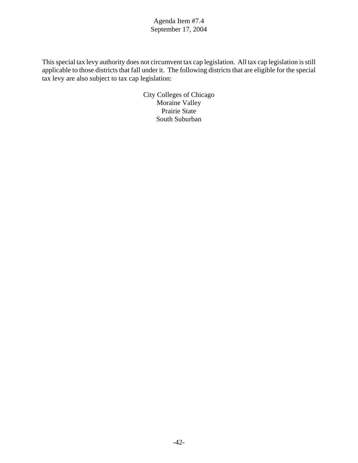This special tax levy authority does not circumvent tax cap legislation. All tax cap legislation is still applicable to those districts that fall under it. The following districts that are eligible for the special tax levy are also subject to tax cap legislation:

> City Colleges of Chicago Moraine Valley Prairie State South Suburban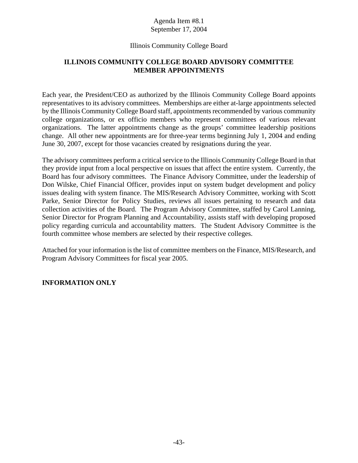#### Illinois Community College Board

#### **ILLINOIS COMMUNITY COLLEGE BOARD ADVISORY COMMITTEE MEMBER APPOINTMENTS**

Each year, the President/CEO as authorized by the Illinois Community College Board appoints representatives to its advisory committees. Memberships are either at-large appointments selected by the Illinois Community College Board staff, appointments recommended by various community college organizations, or ex officio members who represent committees of various relevant organizations. The latter appointments change as the groups' committee leadership positions change. All other new appointments are for three-year terms beginning July 1, 2004 and ending June 30, 2007, except for those vacancies created by resignations during the year.

The advisory committees perform a critical service to the Illinois Community College Board in that they provide input from a local perspective on issues that affect the entire system. Currently, the Board has four advisory committees. The Finance Advisory Committee, under the leadership of Don Wilske, Chief Financial Officer, provides input on system budget development and policy issues dealing with system finance. The MIS/Research Advisory Committee, working with Scott Parke, Senior Director for Policy Studies, reviews all issues pertaining to research and data collection activities of the Board. The Program Advisory Committee, staffed by Carol Lanning, Senior Director for Program Planning and Accountability, assists staff with developing proposed policy regarding curricula and accountability matters. The Student Advisory Committee is the fourth committee whose members are selected by their respective colleges.

Attached for your information is the list of committee members on the Finance, MIS/Research, and Program Advisory Committees for fiscal year 2005.

#### **INFORMATION ONLY**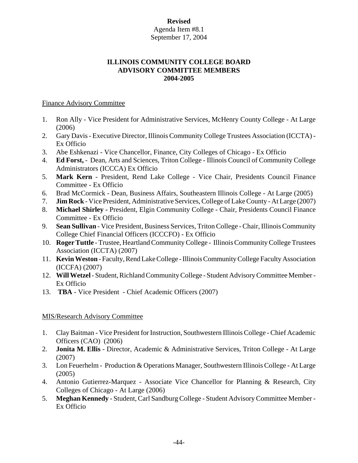## **Revised**

#### Agenda Item #8.1 September 17, 2004

#### **ILLINOIS COMMUNITY COLLEGE BOARD ADVISORY COMMITTEE MEMBERS 2004-2005**

#### Finance Advisory Committee

- 1. Ron Ally Vice President for Administrative Services, McHenry County College At Large (2006)
- 2. Gary Davis Executive Director, Illinois Community College Trustees Association (ICCTA) Ex Officio
- 3. Abe Eshkenazi Vice Chancellor, Finance, City Colleges of Chicago Ex Officio
- 4. **Ed Forst,** Dean, Arts and Sciences, Triton College Illinois Council of Community College Administrators (ICCCA) Ex Officio
- 5. **Mark Kern**  President, Rend Lake College Vice Chair, Presidents Council Finance Committee - Ex Officio
- 6. Brad McCormick Dean, Business Affairs, Southeastern Illinois College At Large (2005)
- 7. **Jim Rock** Vice President, Administrative Services, College of Lake County At Large (2007)
- 8. **Michael Shirley -** President, Elgin Community College Chair, Presidents Council Finance Committee - Ex Officio
- 9. **Sean Sullivan** Vice President, Business Services, Triton College Chair, Illinois Community College Chief Financial Officers (ICCCFO) - Ex Officio
- 10. **Roger Tuttle** Trustee, Heartland Community College Illinois Community College Trustees Association (ICCTA) (2007)
- 11. **Kevin Weston** Faculty, Rend Lake College Illinois Community College Faculty Association (ICCFA) (2007)
- 12. **Will Wetzel** Student, Richland Community College Student Advisory Committee Member Ex Officio
- 13. **TBA** Vice President Chief Academic Officers (2007)

#### MIS/Research Advisory Committee

- 1. Clay Baitman Vice President for Instruction, Southwestern Illinois College Chief Academic Officers (CAO) (2006)
- 2. **Jonita M. Ellis** Director, Academic & Administrative Services, Triton College At Large (2007)
- 3. Lon Feuerhelm Production & Operations Manager, Southwestern Illinois College At Large (2005)
- 4. Antonio Gutierrez-Marquez Associate Vice Chancellor for Planning & Research, City Colleges of Chicago - At Large (2006)
- 5. **Meghan Kennedy** Student, Carl Sandburg College Student Advisory Committee Member Ex Officio